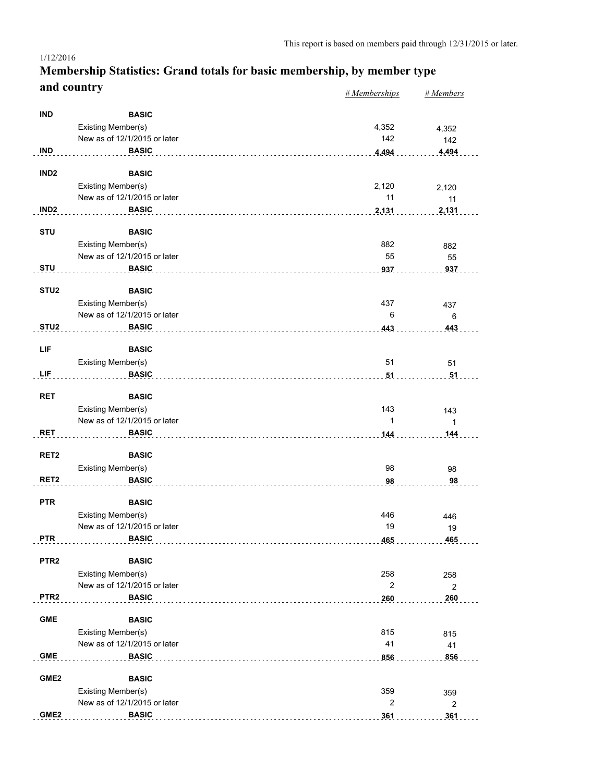#### *# Memberships # Members* **Membership Statistics: Grand totals for basic membership, by member type and country** 1/12/2016

|                  |                              | $n$ <i>inchiberships</i> | $n$ <i>inchibers</i>  |
|------------------|------------------------------|--------------------------|-----------------------|
| <b>IND</b>       | <b>BASIC</b>                 |                          |                       |
|                  | Existing Member(s)           | 4,352                    | 4,352                 |
|                  | New as of 12/1/2015 or later | 142                      | 142                   |
| <b>IND</b>       | <b>BASIC</b>                 | 4,494                    | 4,494                 |
|                  |                              |                          |                       |
| IND <sub>2</sub> | <b>BASIC</b>                 |                          |                       |
|                  | Existing Member(s)           | 2,120                    | 2,120                 |
|                  | New as of 12/1/2015 or later | 11                       | 11                    |
| IND <sub>2</sub> | <b>BASIC</b>                 | 2,131                    | 2,131                 |
|                  |                              |                          |                       |
| <b>STU</b>       | <b>BASIC</b>                 |                          |                       |
|                  | Existing Member(s)           | 882                      | 882                   |
|                  | New as of 12/1/2015 or later | 55                       | 55                    |
| <b>STU</b>       | <b>BASIC</b>                 | 937                      | 937                   |
|                  |                              |                          |                       |
| STU <sub>2</sub> | <b>BASIC</b>                 |                          |                       |
|                  | Existing Member(s)           | 437                      | 437                   |
|                  | New as of 12/1/2015 or later | 6                        | 6                     |
| STU <sub>2</sub> | <b>BASIC</b>                 | 443                      | 443                   |
|                  |                              |                          |                       |
| LIF              | <b>BASIC</b>                 |                          |                       |
|                  | Existing Member(s)           | 51                       | 51                    |
| LIF              | <b>BASIC</b>                 | 51                       | 51                    |
|                  |                              |                          |                       |
| <b>RET</b>       | <b>BASIC</b>                 |                          |                       |
|                  | Existing Member(s)           | 143                      | 143                   |
|                  | New as of 12/1/2015 or later | $\mathbf{1}$             | $\mathbf{1}$          |
| <b>RET</b>       | <b>BASIC</b>                 | 144                      | 144                   |
| RET <sub>2</sub> | <b>BASIC</b>                 |                          |                       |
|                  | Existing Member(s)           | 98                       | 98                    |
| RET <sub>2</sub> | <b>BASIC</b>                 | 98                       | 98                    |
|                  |                              |                          |                       |
| <b>PTR</b>       | <b>BASIC</b>                 |                          |                       |
|                  | Existing Member(s)           | 446                      | 446                   |
|                  | New as of 12/1/2015 or later | 19                       | 19                    |
| <b>PTR</b>       | <b>BASIC</b>                 | 465                      | 465                   |
|                  |                              |                          |                       |
| PTR <sub>2</sub> | <b>BASIC</b>                 |                          |                       |
|                  | Existing Member(s)           | 258                      | 258                   |
|                  | New as of 12/1/2015 or later | $\overline{c}$           | $\overline{2}$        |
| PTR <sub>2</sub> | <b>BASIC</b>                 | 260                      | 260                   |
| <b>GME</b>       | <b>BASIC</b>                 |                          |                       |
|                  |                              |                          |                       |
|                  | Existing Member(s)           | 815                      | 815                   |
|                  | New as of 12/1/2015 or later | 41                       | 41                    |
| <b>GME</b>       | <b>BASIC</b>                 | 856                      | 856                   |
| GME <sub>2</sub> | <b>BASIC</b>                 |                          |                       |
|                  | Existing Member(s)           | 359                      |                       |
|                  | New as of 12/1/2015 or later | $\overline{2}$           | 359                   |
| GME <sub>2</sub> | <b>BASIC</b>                 |                          | $\overline{c}$<br>361 |
|                  |                              | 361                      |                       |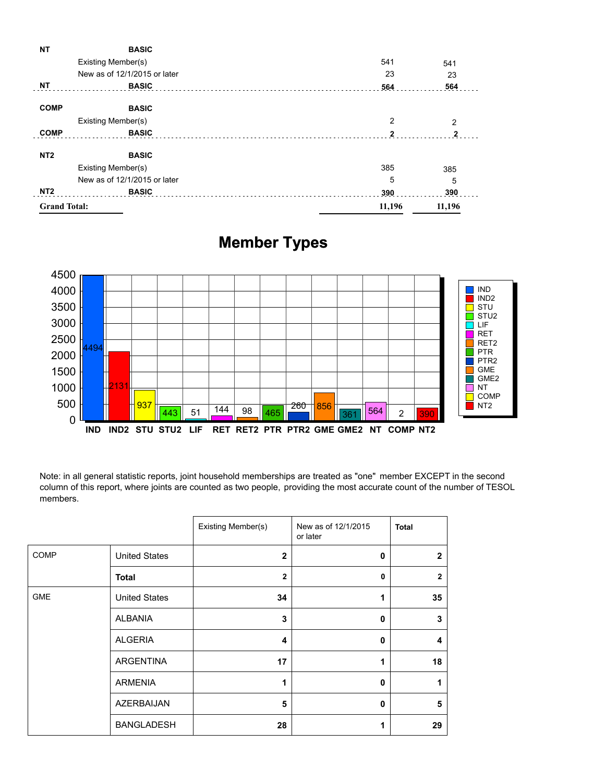| <b>NT</b>           | <b>BASIC</b>                 |              |              |
|---------------------|------------------------------|--------------|--------------|
|                     | Existing Member(s)           | 541          | 541          |
|                     | New as of 12/1/2015 or later | 23           | 23           |
| <b>NT</b>           | <b>BASIC</b>                 | 564          | 564          |
| <b>COMP</b>         | <b>BASIC</b>                 |              |              |
|                     | Existing Member(s)           | 2            | 2            |
| <b>COMP</b>         | <b>BASIC</b>                 | $\mathbf{2}$ | $\mathbf{2}$ |
| NT <sub>2</sub>     | <b>BASIC</b>                 |              |              |
|                     | Existing Member(s)           | 385          | 385          |
|                     | New as of 12/1/2015 or later | 5            | 5            |
| NT <sub>2</sub>     | <b>BASIC</b>                 | 390          | 390          |
| <b>Grand Total:</b> |                              | 11,196       | 11,196       |
|                     |                              |              |              |

## **Member Types**



Note: in all general statistic reports, joint household memberships are treated as "one" member EXCEPT in the second column of this report, where joints are counted as two people, providing the most accurate count of the number of TESOL members.

|             |                      | Existing Member(s) | New as of 12/1/2015<br>or later | <b>Total</b>   |
|-------------|----------------------|--------------------|---------------------------------|----------------|
| <b>COMP</b> | <b>United States</b> | $\overline{2}$     | $\mathbf{0}$                    | $\mathbf{2}$   |
|             | <b>Total</b>         | $\overline{2}$     | 0                               | $\overline{2}$ |
| <b>GME</b>  | <b>United States</b> | 34                 | 1                               | 35             |
|             | <b>ALBANIA</b>       | 3                  | $\mathbf 0$                     | 3              |
|             | <b>ALGERIA</b>       | 4                  | $\mathbf{0}$                    | 4              |
|             | ARGENTINA            | 17                 | 1                               | 18             |
|             | <b>ARMENIA</b>       | 1                  | $\mathbf{0}$                    |                |
|             | <b>AZERBAIJAN</b>    | 5                  | $\mathbf{0}$                    | 5              |
|             | <b>BANGLADESH</b>    | 28                 | 1                               | 29             |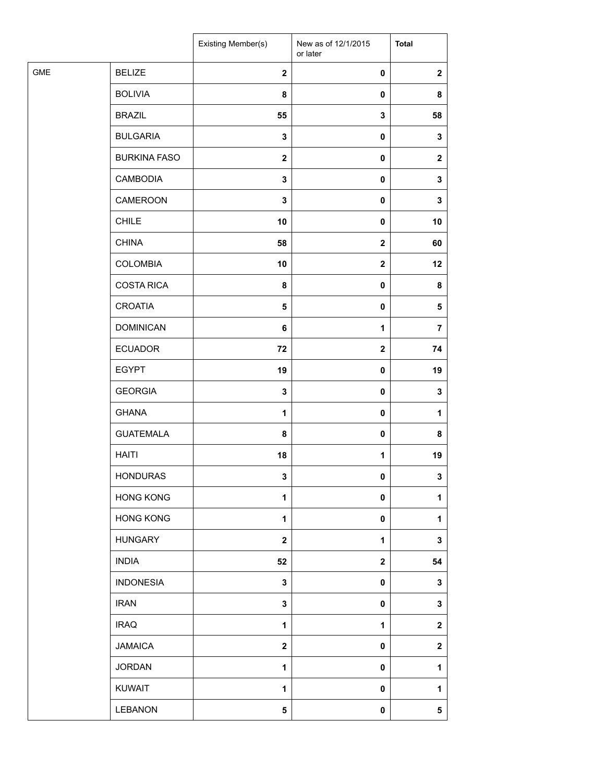|            |                     | Existing Member(s)      | New as of 12/1/2015<br>or later | <b>Total</b>   |
|------------|---------------------|-------------------------|---------------------------------|----------------|
| <b>GME</b> | <b>BELIZE</b>       | $\overline{\mathbf{2}}$ | $\pmb{0}$                       | $\mathbf{2}$   |
|            | <b>BOLIVIA</b>      | 8                       | 0                               | 8              |
|            | <b>BRAZIL</b>       | 55                      | 3                               | 58             |
|            | <b>BULGARIA</b>     | $\mathbf 3$             | $\pmb{0}$                       | 3              |
|            | <b>BURKINA FASO</b> | $\mathbf{2}$            | 0                               | $\mathbf{2}$   |
|            | <b>CAMBODIA</b>     | $\mathbf 3$             | $\pmb{0}$                       | $\mathbf 3$    |
|            | CAMEROON            | $\mathbf 3$             | $\pmb{0}$                       | 3              |
|            | <b>CHILE</b>        | 10                      | 0                               | 10             |
|            | <b>CHINA</b>        | 58                      | $\mathbf 2$                     | 60             |
|            | <b>COLOMBIA</b>     | 10                      | $\mathbf 2$                     | 12             |
|            | <b>COSTA RICA</b>   | 8                       | 0                               | 8              |
|            | <b>CROATIA</b>      | $\overline{\mathbf{5}}$ | $\pmb{0}$                       | $\sqrt{5}$     |
|            | <b>DOMINICAN</b>    | 6                       | $\mathbf{1}$                    | $\overline{7}$ |
|            | <b>ECUADOR</b>      | 72                      | $\mathbf 2$                     | 74             |
|            | <b>EGYPT</b>        | 19                      | 0                               | 19             |
|            | <b>GEORGIA</b>      | 3                       | 0                               | 3              |
|            | <b>GHANA</b>        | $\mathbf{1}$            | 0                               | $\mathbf{1}$   |
|            | <b>GUATEMALA</b>    | 8                       | $\pmb{0}$                       | 8              |
|            | <b>HAITI</b>        | 18                      | 1                               | 19             |
|            | <b>HONDURAS</b>     | 3                       | 0                               | 3              |
|            | <b>HONG KONG</b>    | $\mathbf 1$             | 0                               | 1              |
|            | <b>HONG KONG</b>    | $\mathbf{1}$            | 0                               | 1              |
|            | <b>HUNGARY</b>      | $\mathbf{2}$            | 1                               | 3              |
|            | <b>INDIA</b>        | 52                      | $\mathbf 2$                     | 54             |
|            | <b>INDONESIA</b>    | $\mathbf 3$             | $\pmb{0}$                       | 3              |
|            | <b>IRAN</b>         | 3                       | 0                               | 3              |
|            | <b>IRAQ</b>         | $\mathbf{1}$            | 1                               | $\mathbf 2$    |
|            | <b>JAMAICA</b>      | $\bf{2}$                | 0                               | $\mathbf 2$    |
|            | <b>JORDAN</b>       | $\mathbf{1}$            | 0                               | 1              |
|            | <b>KUWAIT</b>       | $\mathbf{1}$            | 0                               | 1              |
|            | LEBANON             | ${\bf 5}$               | 0                               | 5              |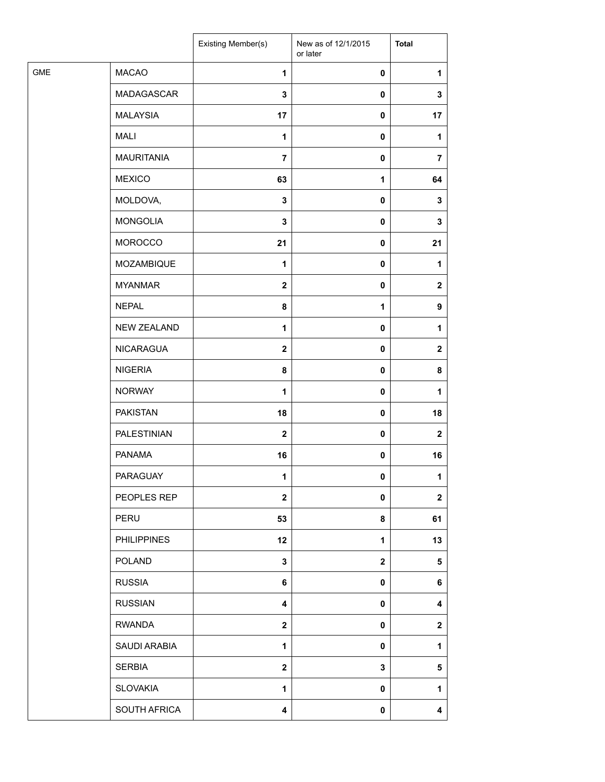|            |                    | Existing Member(s) | New as of 12/1/2015<br>or later | <b>Total</b>     |
|------------|--------------------|--------------------|---------------------------------|------------------|
| <b>GME</b> | <b>MACAO</b>       | 1                  | $\pmb{0}$                       | 1                |
|            | MADAGASCAR         | 3                  | $\pmb{0}$                       | 3                |
|            | <b>MALAYSIA</b>    | 17                 | $\pmb{0}$                       | 17               |
|            | <b>MALI</b>        | 1                  | $\pmb{0}$                       | 1                |
|            | <b>MAURITANIA</b>  | $\overline{7}$     | 0                               | $\overline{7}$   |
|            | <b>MEXICO</b>      | 63                 | $\mathbf{1}$                    | 64               |
|            | MOLDOVA,           | $\mathbf 3$        | $\pmb{0}$                       | 3                |
|            | <b>MONGOLIA</b>    | $\mathbf 3$        | $\mathbf 0$                     | 3                |
|            | MOROCCO            | 21                 | $\pmb{0}$                       | 21               |
|            | MOZAMBIQUE         | 1                  | $\pmb{0}$                       | 1                |
|            | <b>MYANMAR</b>     | $\boldsymbol{2}$   | $\pmb{0}$                       | $\mathbf{2}$     |
|            | <b>NEPAL</b>       | 8                  | $\mathbf{1}$                    | 9                |
|            | <b>NEW ZEALAND</b> | $\mathbf{1}$       | $\pmb{0}$                       | 1                |
|            | NICARAGUA          | $\boldsymbol{2}$   | $\pmb{0}$                       | $\mathbf{2}$     |
|            | <b>NIGERIA</b>     | 8                  | $\pmb{0}$                       | 8                |
|            | <b>NORWAY</b>      | 1                  | $\pmb{0}$                       | 1                |
|            | <b>PAKISTAN</b>    | 18                 | $\pmb{0}$                       | 18               |
|            | PALESTINIAN        | $\mathbf{2}$       | $\pmb{0}$                       | $\boldsymbol{2}$ |
|            | <b>PANAMA</b>      | 16                 | $\pmb{0}$                       | 16               |
|            | PARAGUAY           | 1                  | $\mathbf 0$                     | 1                |
|            | PEOPLES REP        | $\mathbf 2$        | $\pmb{0}$                       | $\mathbf{2}$     |
|            | PERU               | 53                 | 8                               | 61               |
|            | <b>PHILIPPINES</b> | 12                 | $\mathbf{1}$                    | 13               |
|            | <b>POLAND</b>      | $\mathbf 3$        | $\mathbf{2}$                    | 5                |
|            | <b>RUSSIA</b>      | 6                  | $\pmb{0}$                       | 6                |
|            | <b>RUSSIAN</b>     | 4                  | 0                               | 4                |
|            | <b>RWANDA</b>      | $\mathbf 2$        | $\pmb{0}$                       | $\mathbf{2}$     |
|            | SAUDI ARABIA       | $\mathbf{1}$       | $\pmb{0}$                       | 1                |
|            | <b>SERBIA</b>      | $\mathbf{2}$       | 3                               | 5                |
|            | <b>SLOVAKIA</b>    | 1                  | $\pmb{0}$                       | 1                |
|            | SOUTH AFRICA       | 4                  | $\pmb{0}$                       | 4                |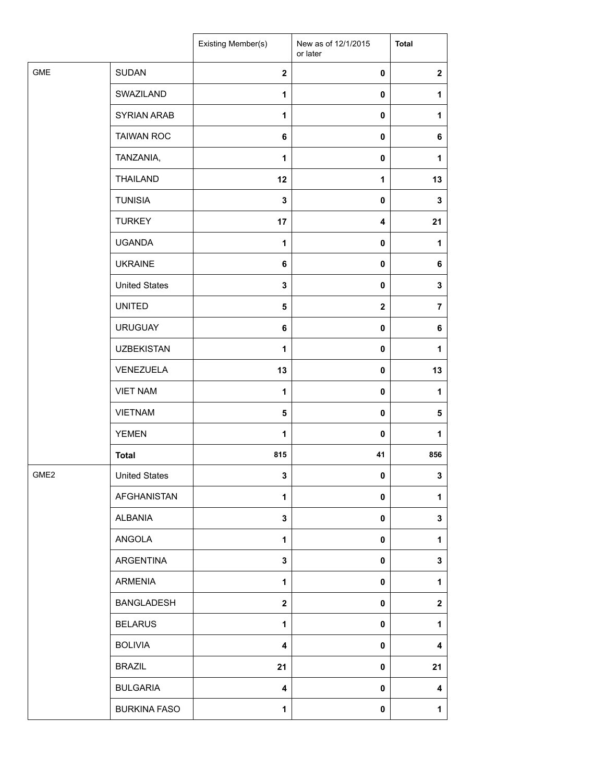|                  |                      | Existing Member(s)      | New as of 12/1/2015<br>or later | <b>Total</b>            |
|------------------|----------------------|-------------------------|---------------------------------|-------------------------|
| <b>GME</b>       | <b>SUDAN</b>         | $\mathbf{2}$            | 0                               | $\overline{\mathbf{2}}$ |
|                  | SWAZILAND            | 1                       | $\mathbf 0$                     | 1                       |
|                  | SYRIAN ARAB          | 1                       | 0                               | $\mathbf{1}$            |
|                  | <b>TAIWAN ROC</b>    | 6                       | 0                               | 6                       |
|                  | TANZANIA,            | 1                       | 0                               | 1                       |
|                  | <b>THAILAND</b>      | 12                      | 1                               | 13                      |
|                  | <b>TUNISIA</b>       | 3                       | $\pmb{0}$                       | $\mathbf 3$             |
|                  | <b>TURKEY</b>        | 17                      | 4                               | 21                      |
|                  | <b>UGANDA</b>        | 1                       | 0                               | $\mathbf{1}$            |
|                  | <b>UKRAINE</b>       | 6                       | 0                               | 6                       |
|                  | <b>United States</b> | 3                       | 0                               | 3                       |
|                  | <b>UNITED</b>        | $\sqrt{5}$              | $\mathbf{2}$                    | $\overline{\mathbf{r}}$ |
|                  | <b>URUGUAY</b>       | $\bf 6$                 | $\mathbf 0$                     | 6                       |
|                  | <b>UZBEKISTAN</b>    | 1                       | $\mathbf 0$                     | $\mathbf{1}$            |
|                  | VENEZUELA            | 13                      | 0                               | 13                      |
|                  | <b>VIET NAM</b>      | 1                       | 0                               | 1                       |
|                  | <b>VIETNAM</b>       | 5                       | $\mathbf 0$                     | 5                       |
|                  | <b>YEMEN</b>         | 1                       | $\mathbf 0$                     | 1                       |
|                  | <b>Total</b>         | 815                     | 41                              | 856                     |
| GME <sub>2</sub> | <b>United States</b> | $\mathbf{3}$            | 0                               | $\mathbf{3}$            |
|                  | AFGHANISTAN          | 1                       | 0                               | 1                       |
|                  | ALBANIA              | $\mathbf{3}$            | 0                               | $\mathbf 3$             |
|                  | ANGOLA               | $\mathbf{1}$            | 0                               | 1                       |
|                  | ARGENTINA            | $\mathbf 3$             | 0                               | ${\bf 3}$               |
|                  | ARMENIA              | 1                       | 0                               | 1                       |
|                  | BANGLADESH           | $\mathbf{2}$            | 0                               | $\boldsymbol{2}$        |
|                  | <b>BELARUS</b>       | 1                       | 0                               | 1                       |
|                  | <b>BOLIVIA</b>       | $\overline{\mathbf{4}}$ | 0                               | 4                       |
|                  | <b>BRAZIL</b>        | 21                      | 0                               | 21                      |
|                  | <b>BULGARIA</b>      | 4                       | 0                               | 4                       |
|                  | <b>BURKINA FASO</b>  | 1                       | $\pmb{0}$                       | $\mathbf{1}$            |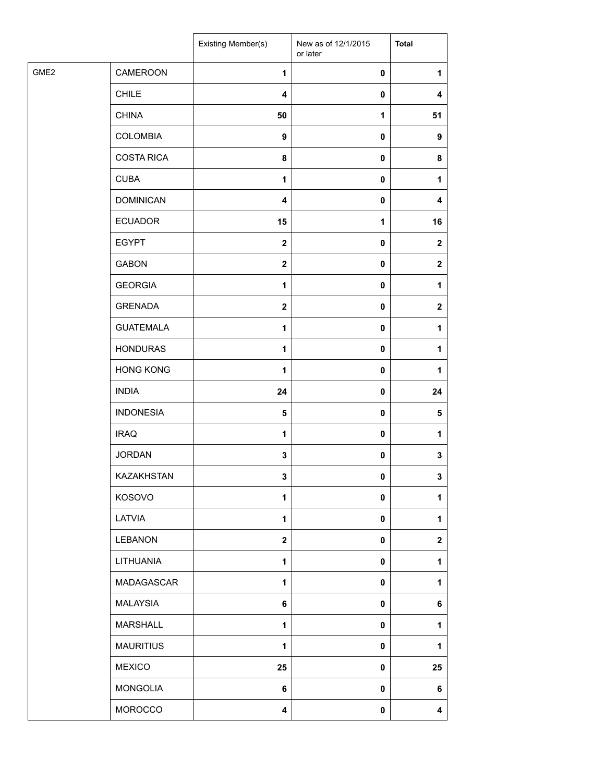| <b>CAMEROON</b><br>$\pmb{0}$<br>$\mathbf{1}$<br>1<br><b>CHILE</b><br>$\overline{\mathbf{4}}$<br>0<br>$\overline{\mathbf{4}}$<br><b>CHINA</b><br>50<br>$\mathbf{1}$<br>51<br><b>COLOMBIA</b><br>9<br>$\pmb{0}$<br>9<br><b>COSTA RICA</b><br>8<br>$\pmb{0}$<br>8<br><b>CUBA</b><br>$\mathbf{1}$<br>$\pmb{0}$<br>1<br><b>DOMINICAN</b><br>$\overline{\mathbf{4}}$<br>$\pmb{0}$<br>4<br><b>ECUADOR</b><br>15<br>$\mathbf{1}$<br>16<br><b>EGYPT</b><br>$\boldsymbol{2}$<br>0<br>$\mathbf 2$<br><b>GABON</b><br>$\boldsymbol{2}$<br>$\pmb{0}$<br>$\mathbf 2$<br><b>GEORGIA</b><br>$\mathbf{1}$<br>0<br>1<br><b>GRENADA</b><br>$\mathbf{2}$<br>$\pmb{0}$<br>$\mathbf{2}$<br><b>GUATEMALA</b><br>$\pmb{0}$<br>1<br>1<br><b>HONDURAS</b><br>$\mathbf 1$<br>0<br>1<br><b>HONG KONG</b><br>$\mathbf{1}$<br>0<br>1<br><b>INDIA</b><br>24<br>$\pmb{0}$<br>24<br><b>INDONESIA</b><br>$\sqrt{5}$<br>0<br>$\sqrt{5}$<br><b>IRAQ</b><br>$\mathbf{1}$<br>$\pmb{0}$<br>1<br><b>JORDAN</b><br>$\mathbf 3$<br>$\pmb{0}$<br>3<br>KAZAKHSTAN<br>3<br>3<br>0<br>KOSOVO<br>1<br>0<br>1<br>LATVIA<br>$\mathbf{1}$<br>$\pmb{0}$<br>1<br><b>LEBANON</b><br>$\mathbf{2}$<br>$\overline{\mathbf{2}}$<br>0<br>LITHUANIA<br>$\mathbf{1}$<br>$\pmb{0}$<br>1<br>MADAGASCAR<br>1<br>0<br>1<br><b>MALAYSIA</b><br>6<br>0<br>6<br><b>MARSHALL</b><br>$\mathbf{1}$<br>0<br>1<br><b>MAURITIUS</b><br>$\mathbf{1}$<br>0<br>1<br><b>MEXICO</b><br>25<br>0<br>25<br><b>MONGOLIA</b><br>6<br>$\pmb{0}$<br>6<br>MOROCCO<br>4<br>0<br>4 |                  | Existing Member(s) | New as of 12/1/2015<br>or later | <b>Total</b> |
|--------------------------------------------------------------------------------------------------------------------------------------------------------------------------------------------------------------------------------------------------------------------------------------------------------------------------------------------------------------------------------------------------------------------------------------------------------------------------------------------------------------------------------------------------------------------------------------------------------------------------------------------------------------------------------------------------------------------------------------------------------------------------------------------------------------------------------------------------------------------------------------------------------------------------------------------------------------------------------------------------------------------------------------------------------------------------------------------------------------------------------------------------------------------------------------------------------------------------------------------------------------------------------------------------------------------------------------------------------------------------------------------------------------------------------------------------------------------------------------------|------------------|--------------------|---------------------------------|--------------|
|                                                                                                                                                                                                                                                                                                                                                                                                                                                                                                                                                                                                                                                                                                                                                                                                                                                                                                                                                                                                                                                                                                                                                                                                                                                                                                                                                                                                                                                                                            | GME <sub>2</sub> |                    |                                 |              |
|                                                                                                                                                                                                                                                                                                                                                                                                                                                                                                                                                                                                                                                                                                                                                                                                                                                                                                                                                                                                                                                                                                                                                                                                                                                                                                                                                                                                                                                                                            |                  |                    |                                 |              |
|                                                                                                                                                                                                                                                                                                                                                                                                                                                                                                                                                                                                                                                                                                                                                                                                                                                                                                                                                                                                                                                                                                                                                                                                                                                                                                                                                                                                                                                                                            |                  |                    |                                 |              |
|                                                                                                                                                                                                                                                                                                                                                                                                                                                                                                                                                                                                                                                                                                                                                                                                                                                                                                                                                                                                                                                                                                                                                                                                                                                                                                                                                                                                                                                                                            |                  |                    |                                 |              |
|                                                                                                                                                                                                                                                                                                                                                                                                                                                                                                                                                                                                                                                                                                                                                                                                                                                                                                                                                                                                                                                                                                                                                                                                                                                                                                                                                                                                                                                                                            |                  |                    |                                 |              |
|                                                                                                                                                                                                                                                                                                                                                                                                                                                                                                                                                                                                                                                                                                                                                                                                                                                                                                                                                                                                                                                                                                                                                                                                                                                                                                                                                                                                                                                                                            |                  |                    |                                 |              |
|                                                                                                                                                                                                                                                                                                                                                                                                                                                                                                                                                                                                                                                                                                                                                                                                                                                                                                                                                                                                                                                                                                                                                                                                                                                                                                                                                                                                                                                                                            |                  |                    |                                 |              |
|                                                                                                                                                                                                                                                                                                                                                                                                                                                                                                                                                                                                                                                                                                                                                                                                                                                                                                                                                                                                                                                                                                                                                                                                                                                                                                                                                                                                                                                                                            |                  |                    |                                 |              |
|                                                                                                                                                                                                                                                                                                                                                                                                                                                                                                                                                                                                                                                                                                                                                                                                                                                                                                                                                                                                                                                                                                                                                                                                                                                                                                                                                                                                                                                                                            |                  |                    |                                 |              |
|                                                                                                                                                                                                                                                                                                                                                                                                                                                                                                                                                                                                                                                                                                                                                                                                                                                                                                                                                                                                                                                                                                                                                                                                                                                                                                                                                                                                                                                                                            |                  |                    |                                 |              |
|                                                                                                                                                                                                                                                                                                                                                                                                                                                                                                                                                                                                                                                                                                                                                                                                                                                                                                                                                                                                                                                                                                                                                                                                                                                                                                                                                                                                                                                                                            |                  |                    |                                 |              |
|                                                                                                                                                                                                                                                                                                                                                                                                                                                                                                                                                                                                                                                                                                                                                                                                                                                                                                                                                                                                                                                                                                                                                                                                                                                                                                                                                                                                                                                                                            |                  |                    |                                 |              |
|                                                                                                                                                                                                                                                                                                                                                                                                                                                                                                                                                                                                                                                                                                                                                                                                                                                                                                                                                                                                                                                                                                                                                                                                                                                                                                                                                                                                                                                                                            |                  |                    |                                 |              |
|                                                                                                                                                                                                                                                                                                                                                                                                                                                                                                                                                                                                                                                                                                                                                                                                                                                                                                                                                                                                                                                                                                                                                                                                                                                                                                                                                                                                                                                                                            |                  |                    |                                 |              |
|                                                                                                                                                                                                                                                                                                                                                                                                                                                                                                                                                                                                                                                                                                                                                                                                                                                                                                                                                                                                                                                                                                                                                                                                                                                                                                                                                                                                                                                                                            |                  |                    |                                 |              |
|                                                                                                                                                                                                                                                                                                                                                                                                                                                                                                                                                                                                                                                                                                                                                                                                                                                                                                                                                                                                                                                                                                                                                                                                                                                                                                                                                                                                                                                                                            |                  |                    |                                 |              |
|                                                                                                                                                                                                                                                                                                                                                                                                                                                                                                                                                                                                                                                                                                                                                                                                                                                                                                                                                                                                                                                                                                                                                                                                                                                                                                                                                                                                                                                                                            |                  |                    |                                 |              |
|                                                                                                                                                                                                                                                                                                                                                                                                                                                                                                                                                                                                                                                                                                                                                                                                                                                                                                                                                                                                                                                                                                                                                                                                                                                                                                                                                                                                                                                                                            |                  |                    |                                 |              |
|                                                                                                                                                                                                                                                                                                                                                                                                                                                                                                                                                                                                                                                                                                                                                                                                                                                                                                                                                                                                                                                                                                                                                                                                                                                                                                                                                                                                                                                                                            |                  |                    |                                 |              |
|                                                                                                                                                                                                                                                                                                                                                                                                                                                                                                                                                                                                                                                                                                                                                                                                                                                                                                                                                                                                                                                                                                                                                                                                                                                                                                                                                                                                                                                                                            |                  |                    |                                 |              |
|                                                                                                                                                                                                                                                                                                                                                                                                                                                                                                                                                                                                                                                                                                                                                                                                                                                                                                                                                                                                                                                                                                                                                                                                                                                                                                                                                                                                                                                                                            |                  |                    |                                 |              |
|                                                                                                                                                                                                                                                                                                                                                                                                                                                                                                                                                                                                                                                                                                                                                                                                                                                                                                                                                                                                                                                                                                                                                                                                                                                                                                                                                                                                                                                                                            |                  |                    |                                 |              |
|                                                                                                                                                                                                                                                                                                                                                                                                                                                                                                                                                                                                                                                                                                                                                                                                                                                                                                                                                                                                                                                                                                                                                                                                                                                                                                                                                                                                                                                                                            |                  |                    |                                 |              |
|                                                                                                                                                                                                                                                                                                                                                                                                                                                                                                                                                                                                                                                                                                                                                                                                                                                                                                                                                                                                                                                                                                                                                                                                                                                                                                                                                                                                                                                                                            |                  |                    |                                 |              |
|                                                                                                                                                                                                                                                                                                                                                                                                                                                                                                                                                                                                                                                                                                                                                                                                                                                                                                                                                                                                                                                                                                                                                                                                                                                                                                                                                                                                                                                                                            |                  |                    |                                 |              |
|                                                                                                                                                                                                                                                                                                                                                                                                                                                                                                                                                                                                                                                                                                                                                                                                                                                                                                                                                                                                                                                                                                                                                                                                                                                                                                                                                                                                                                                                                            |                  |                    |                                 |              |
|                                                                                                                                                                                                                                                                                                                                                                                                                                                                                                                                                                                                                                                                                                                                                                                                                                                                                                                                                                                                                                                                                                                                                                                                                                                                                                                                                                                                                                                                                            |                  |                    |                                 |              |
|                                                                                                                                                                                                                                                                                                                                                                                                                                                                                                                                                                                                                                                                                                                                                                                                                                                                                                                                                                                                                                                                                                                                                                                                                                                                                                                                                                                                                                                                                            |                  |                    |                                 |              |
|                                                                                                                                                                                                                                                                                                                                                                                                                                                                                                                                                                                                                                                                                                                                                                                                                                                                                                                                                                                                                                                                                                                                                                                                                                                                                                                                                                                                                                                                                            |                  |                    |                                 |              |
|                                                                                                                                                                                                                                                                                                                                                                                                                                                                                                                                                                                                                                                                                                                                                                                                                                                                                                                                                                                                                                                                                                                                                                                                                                                                                                                                                                                                                                                                                            |                  |                    |                                 |              |
|                                                                                                                                                                                                                                                                                                                                                                                                                                                                                                                                                                                                                                                                                                                                                                                                                                                                                                                                                                                                                                                                                                                                                                                                                                                                                                                                                                                                                                                                                            |                  |                    |                                 |              |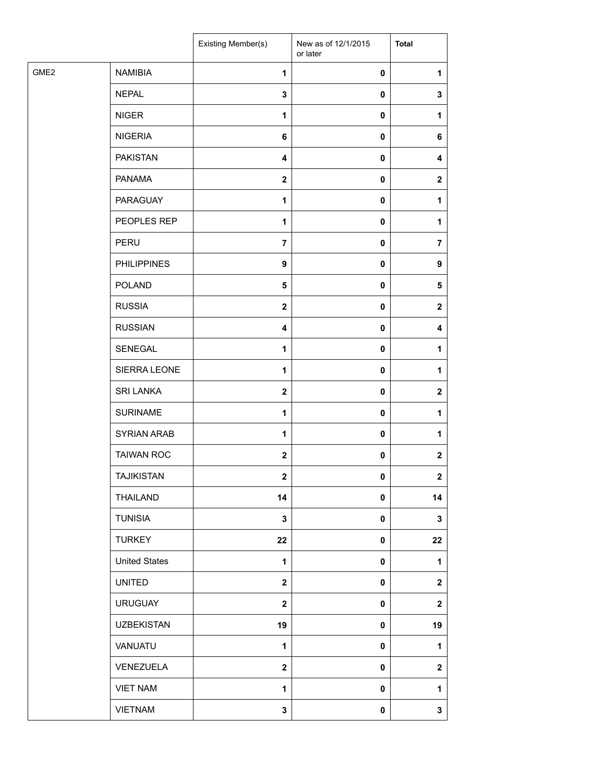|      |                      | Existing Member(s)      | New as of 12/1/2015<br>or later | <b>Total</b>   |
|------|----------------------|-------------------------|---------------------------------|----------------|
| GME2 | <b>NAMIBIA</b>       | 1                       | 0                               | 1              |
|      | <b>NEPAL</b>         | 3                       | 0                               | 3              |
|      | <b>NIGER</b>         | $\mathbf{1}$            | 0                               | 1              |
|      | <b>NIGERIA</b>       | 6                       | 0                               | 6              |
|      | <b>PAKISTAN</b>      | 4                       | 0                               | 4              |
|      | <b>PANAMA</b>        | $\mathbf{2}$            | 0                               | $\mathbf{2}$   |
|      | <b>PARAGUAY</b>      | 1                       | 0                               | $\mathbf{1}$   |
|      | PEOPLES REP          | 1                       | 0                               | 1              |
|      | PERU                 | $\overline{7}$          | 0                               | 7              |
|      | <b>PHILIPPINES</b>   | $\boldsymbol{9}$        | 0                               | 9              |
|      | <b>POLAND</b>        | 5                       | 0                               | 5              |
|      | <b>RUSSIA</b>        | $\mathbf{2}$            | 0                               | $\mathbf{2}$   |
|      | <b>RUSSIAN</b>       | $\overline{\mathbf{4}}$ | $\pmb{0}$                       | 4              |
|      | SENEGAL              | $\mathbf{1}$            | 0                               | 1              |
|      | SIERRA LEONE         | $\mathbf{1}$            | 0                               | 1              |
|      | <b>SRI LANKA</b>     | $\mathbf{2}$            | 0                               | $\mathbf{2}$   |
|      | <b>SURINAME</b>      | 1                       | 0                               | 1              |
|      | SYRIAN ARAB          | 1                       | 0                               | 1              |
|      | <b>TAIWAN ROC</b>    | $\mathbf 2$             | 0                               | $\mathbf{2}$   |
|      | <b>TAJIKISTAN</b>    | $\overline{2}$          | 0                               | $\overline{2}$ |
|      | THAILAND             | 14                      | 0                               | 14             |
|      | <b>TUNISIA</b>       | $\mathbf 3$             | 0                               | $\mathbf{3}$   |
|      | <b>TURKEY</b>        | 22                      | 0                               | 22             |
|      | <b>United States</b> | $\mathbf{1}$            | 0                               | $\mathbf{1}$   |
|      | <b>UNITED</b>        | $\mathbf{2}$            | 0                               | $\mathbf{2}$   |
|      | <b>URUGUAY</b>       | $\mathbf 2$             | 0                               | $\mathbf 2$    |
|      | <b>UZBEKISTAN</b>    | 19                      | 0                               | 19             |
|      | VANUATU              | $\mathbf{1}$            | 0                               | 1              |
|      | VENEZUELA            | $\mathbf{2}$            | 0                               | $\mathbf 2$    |
|      | <b>VIET NAM</b>      | 1                       | 0                               | 1              |
|      | <b>VIETNAM</b>       | $\mathbf 3$             | 0                               | $\mathbf{3}$   |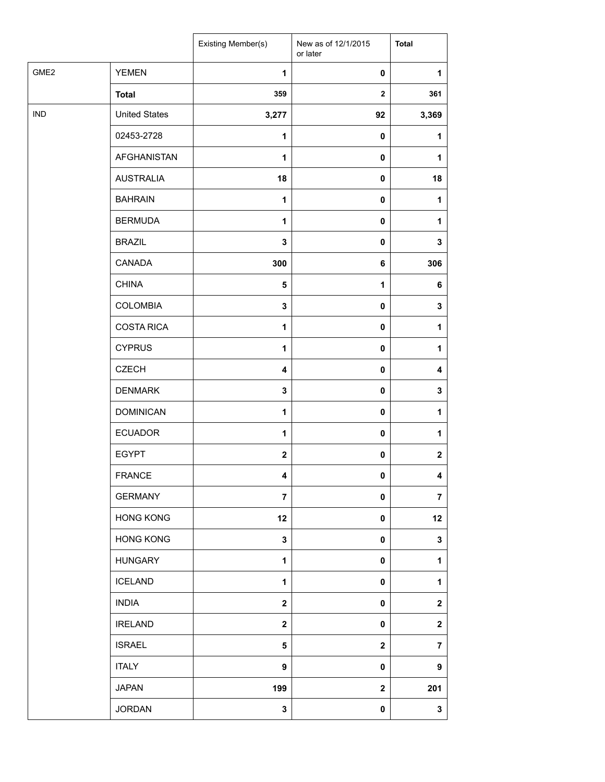|                  |                      | Existing Member(s)      | New as of 12/1/2015<br>or later | <b>Total</b>   |
|------------------|----------------------|-------------------------|---------------------------------|----------------|
| GME <sub>2</sub> | <b>YEMEN</b>         | $\mathbf{1}$            | 0                               | 1              |
|                  | <b>Total</b>         | 359                     | $\mathbf{2}$                    | 361            |
| <b>IND</b>       | <b>United States</b> | 3,277                   | 92                              | 3,369          |
|                  | 02453-2728           | $\mathbf{1}$            | 0                               | 1              |
|                  | <b>AFGHANISTAN</b>   | $\mathbf{1}$            | 0                               | 1              |
|                  | <b>AUSTRALIA</b>     | 18                      | 0                               | 18             |
|                  | <b>BAHRAIN</b>       | $\mathbf{1}$            | 0                               | 1              |
|                  | <b>BERMUDA</b>       | $\mathbf{1}$            | $\pmb{0}$                       | 1              |
|                  | <b>BRAZIL</b>        | 3                       | 0                               | 3              |
|                  | CANADA               | 300                     | 6                               | 306            |
|                  | <b>CHINA</b>         | 5                       | $\mathbf 1$                     | 6              |
|                  | <b>COLOMBIA</b>      | $\mathbf 3$             | $\pmb{0}$                       | 3              |
|                  | <b>COSTA RICA</b>    | 1                       | 0                               | 1              |
|                  | <b>CYPRUS</b>        | $\mathbf{1}$            | 0                               | 1              |
|                  | <b>CZECH</b>         | $\overline{\mathbf{4}}$ | 0                               | 4              |
|                  | <b>DENMARK</b>       | $\mathbf 3$             | 0                               | 3              |
|                  | <b>DOMINICAN</b>     | $\mathbf{1}$            | $\pmb{0}$                       | 1              |
|                  | <b>ECUADOR</b>       | 1                       | 0                               | 1              |
|                  | <b>EGYPT</b>         | $\overline{\mathbf{2}}$ | 0                               | $\mathbf 2$    |
|                  | <b>FRANCE</b>        | 4                       | 0                               | 4              |
|                  | <b>GERMANY</b>       | $\overline{7}$          | 0                               | $\overline{7}$ |
|                  | <b>HONG KONG</b>     | 12                      | 0                               | 12             |
|                  | <b>HONG KONG</b>     | $\mathbf 3$             | $\pmb{0}$                       | $\mathbf 3$    |
|                  | <b>HUNGARY</b>       | $\mathbf{1}$            | 0                               | 1              |
|                  | <b>ICELAND</b>       | 1                       | 0                               | 1              |
|                  | <b>INDIA</b>         | $\overline{\mathbf{2}}$ | 0                               | $\mathbf 2$    |
|                  | <b>IRELAND</b>       | $\overline{\mathbf{2}}$ | 0                               | $\mathbf 2$    |
|                  | <b>ISRAEL</b>        | 5                       | $\mathbf 2$                     | $\overline{7}$ |
|                  | <b>ITALY</b>         | 9                       | 0                               | 9              |
|                  | <b>JAPAN</b>         | 199                     | $\mathbf 2$                     | 201            |
|                  | <b>JORDAN</b>        | 3                       | 0                               | 3              |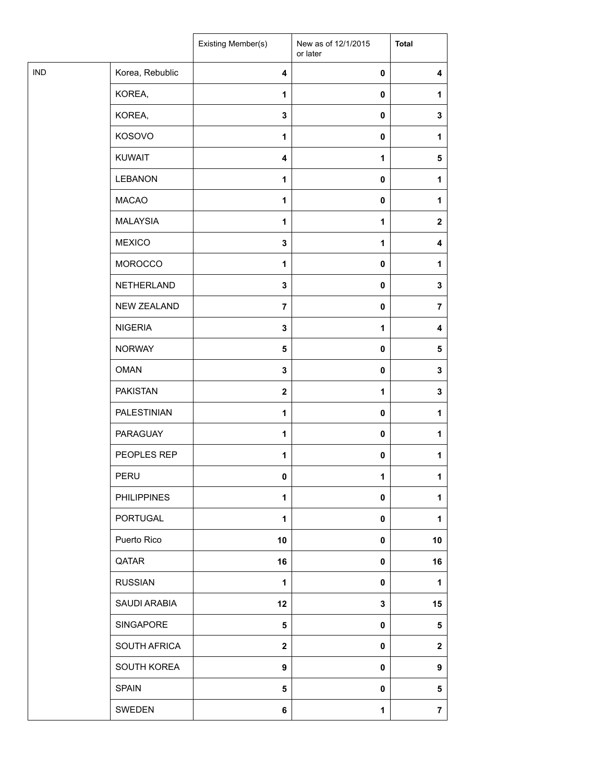|            |                    | Existing Member(s)      | New as of 12/1/2015<br>or later | <b>Total</b>   |
|------------|--------------------|-------------------------|---------------------------------|----------------|
| <b>IND</b> | Korea, Rebublic    | $\overline{\mathbf{4}}$ | 0                               | 4              |
|            | KOREA,             | 1                       | $\pmb{0}$                       | $\mathbf{1}$   |
|            | KOREA,             | 3                       | $\pmb{0}$                       | 3              |
|            | KOSOVO             | 1                       | 0                               | 1              |
|            | <b>KUWAIT</b>      | $\overline{\mathbf{4}}$ | 1                               | $\sqrt{5}$     |
|            | <b>LEBANON</b>     | 1                       | 0                               | 1              |
|            | <b>MACAO</b>       | $\mathbf{1}$            | 0                               | $\mathbf{1}$   |
|            | <b>MALAYSIA</b>    | 1                       | 1                               | $\mathbf{2}$   |
|            | <b>MEXICO</b>      | 3                       | 1                               | 4              |
|            | <b>MOROCCO</b>     | 1                       | 0                               | 1              |
|            | NETHERLAND         | 3                       | $\pmb{0}$                       | 3              |
|            | <b>NEW ZEALAND</b> | $\overline{7}$          | $\pmb{0}$                       | $\overline{7}$ |
|            | <b>NIGERIA</b>     | 3                       | 1                               | 4              |
|            | <b>NORWAY</b>      | 5                       | $\pmb{0}$                       | $\sqrt{5}$     |
|            | <b>OMAN</b>        | 3                       | $\mathbf 0$                     | 3              |
|            | <b>PAKISTAN</b>    | $\boldsymbol{2}$        | 1                               | 3              |
|            | PALESTINIAN        | $\mathbf{1}$            | $\pmb{0}$                       | 1              |
|            | PARAGUAY           | 1                       | 0                               | 1              |
|            | PEOPLES REP        | 1                       | 0                               | 1              |
|            | PERU               | 0                       | $\mathbf 1$                     | 1              |
|            | <b>PHILIPPINES</b> | 1                       | 0                               | 1              |
|            | PORTUGAL           | 1                       | 0                               | 1              |
|            | Puerto Rico        | 10                      | 0                               | 10             |
|            | QATAR              | 16                      | $\pmb{0}$                       | 16             |
|            | <b>RUSSIAN</b>     | 1                       | 0                               | 1              |
|            | SAUDI ARABIA       | 12                      | $\mathbf{3}$                    | 15             |
|            | SINGAPORE          | 5                       | 0                               | 5              |
|            | SOUTH AFRICA       | $\mathbf{2}$            | 0                               | $\mathbf 2$    |
|            | SOUTH KOREA        | 9                       | 0                               | 9              |
|            | <b>SPAIN</b>       | 5                       | 0                               | 5              |
|            | SWEDEN             | 6                       | $\mathbf 1$                     | $\overline{7}$ |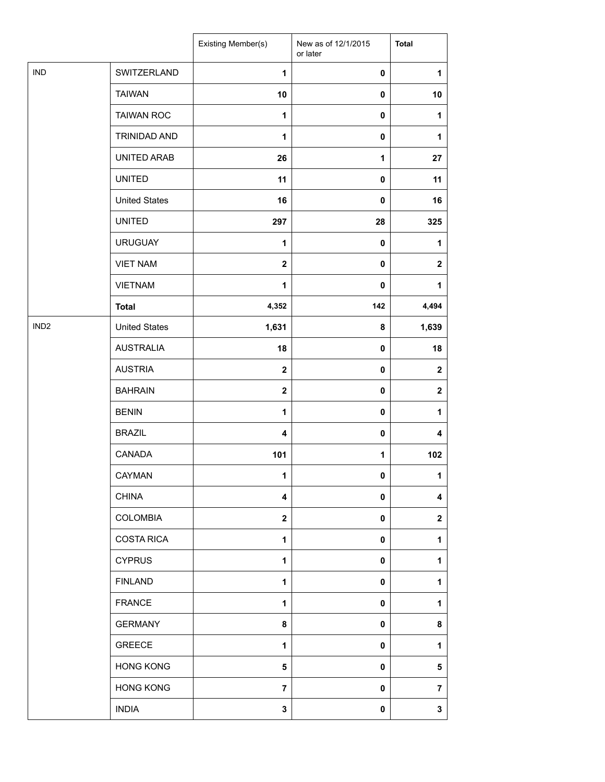|                  |                      | Existing Member(s)      | New as of 12/1/2015<br>or later | <b>Total</b>            |
|------------------|----------------------|-------------------------|---------------------------------|-------------------------|
| <b>IND</b>       | SWITZERLAND          | $\mathbf{1}$            | 0                               | $\mathbf{1}$            |
|                  | <b>TAIWAN</b>        | 10                      | 0                               | 10                      |
|                  | <b>TAIWAN ROC</b>    | $\mathbf{1}$            | 0                               | $\mathbf{1}$            |
|                  | <b>TRINIDAD AND</b>  | 1                       | 0                               | $\mathbf{1}$            |
|                  | UNITED ARAB          | 26                      | 1                               | 27                      |
|                  | <b>UNITED</b>        | 11                      | 0                               | 11                      |
|                  | <b>United States</b> | 16                      | 0                               | 16                      |
|                  | <b>UNITED</b>        | 297                     | 28                              | 325                     |
|                  | <b>URUGUAY</b>       | 1                       | 0                               | $\mathbf{1}$            |
|                  | <b>VIET NAM</b>      | $\mathbf{2}$            | 0                               | $\mathbf{2}$            |
|                  | <b>VIETNAM</b>       | 1                       | $\mathbf 0$                     | 1                       |
|                  | <b>Total</b>         | 4,352                   | 142                             | 4,494                   |
| IND <sub>2</sub> | <b>United States</b> | 1,631                   | 8                               | 1,639                   |
|                  | <b>AUSTRALIA</b>     | 18                      | 0                               | 18                      |
|                  | <b>AUSTRIA</b>       | $\mathbf{2}$            | 0                               | $\mathbf{2}$            |
|                  | <b>BAHRAIN</b>       | $\mathbf{2}$            | $\pmb{0}$                       | $\mathbf 2$             |
|                  | <b>BENIN</b>         | $\mathbf{1}$            | $\pmb{0}$                       | $\mathbf{1}$            |
|                  | <b>BRAZIL</b>        | 4                       | 0                               | 4                       |
|                  | CANADA               | 101                     | 1                               | 102                     |
|                  | <b>CAYMAN</b>        | $\mathbf{1}$            | $\mathbf 0$                     | $\mathbf{1}$            |
|                  | <b>CHINA</b>         | $\overline{\mathbf{4}}$ | 0                               | 4                       |
|                  | <b>COLOMBIA</b>      | $\mathbf{2}$            | 0                               | $\mathbf 2$             |
|                  | <b>COSTA RICA</b>    | 1                       | 0                               | 1                       |
|                  | <b>CYPRUS</b>        | 1                       | 0                               | $\mathbf{1}$            |
|                  | <b>FINLAND</b>       | 1                       | 0                               | 1                       |
|                  | <b>FRANCE</b>        | $\mathbf{1}$            | 0                               | $\mathbf{1}$            |
|                  | <b>GERMANY</b>       | 8                       | 0                               | 8                       |
|                  | <b>GREECE</b>        | 1                       | 0                               | 1                       |
|                  | <b>HONG KONG</b>     | $5\phantom{.0}$         | 0                               | $\overline{\mathbf{5}}$ |
|                  | <b>HONG KONG</b>     | $\overline{7}$          | 0                               | $\overline{7}$          |
|                  | <b>INDIA</b>         | 3                       | 0                               | $\mathbf 3$             |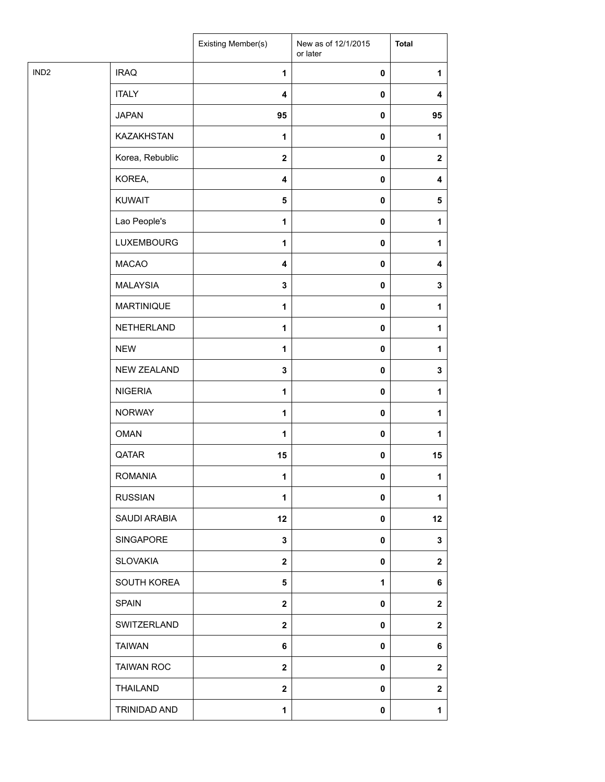| <b>IRAQ</b><br>$\pmb{0}$<br>1<br>1<br><b>ITALY</b><br>$\overline{\mathbf{4}}$<br>0<br>4<br><b>JAPAN</b><br>95<br>$\pmb{0}$<br>95<br>KAZAKHSTAN<br>1<br>0<br>1<br>Korea, Rebublic<br>$\mathbf 2$<br>0<br>$\mathbf{2}$<br>KOREA,<br>$\pmb{0}$<br>$\overline{\mathbf{4}}$<br>4<br>KUWAIT<br>5<br>$\pmb{0}$<br>$\sqrt{5}$<br>Lao People's<br>$\pmb{0}$<br>1<br>1<br><b>LUXEMBOURG</b><br>$\mathbf{1}$<br>0<br>1<br><b>MACAO</b><br>4<br>0<br>4<br><b>MALAYSIA</b><br>3<br>0<br>3<br><b>MARTINIQUE</b><br>$\mathbf{1}$<br>$\pmb{0}$<br>1<br>NETHERLAND<br>$\pmb{0}$<br>1<br>1<br><b>NEW</b><br>1<br>0<br>1<br>NEW ZEALAND<br>3<br>0<br>3<br><b>NIGERIA</b><br>1<br>0<br>1<br><b>NORWAY</b><br>1<br>0<br>$\mathbf{1}$<br><b>OMAN</b><br>$\mathbf{1}$<br>$\pmb{0}$<br>1<br>QATAR<br>15<br>$\pmb{0}$<br>15<br><b>ROMANIA</b><br>1<br>0<br>1<br><b>RUSSIAN</b><br>$\mathbf{1}$<br>0<br>1<br>SAUDI ARABIA<br>12<br>12<br>0<br><b>SINGAPORE</b><br>3<br>0<br>3<br><b>SLOVAKIA</b><br>$\overline{\mathbf{2}}$<br>0<br>$\mathbf{2}$<br>SOUTH KOREA<br>5<br>1<br>6<br><b>SPAIN</b><br>$\mathbf{2}$<br>0<br>$\mathbf{2}$<br>SWITZERLAND<br>$\overline{\mathbf{2}}$<br>0<br>$\mathbf 2$<br><b>TAIWAN</b><br>6<br>0<br>6<br><b>TAIWAN ROC</b><br>$\mathbf 2$<br>0<br>$\mathbf{2}$<br>THAILAND<br>$\overline{\mathbf{2}}$<br>0<br>$\mathbf 2$<br>TRINIDAD AND<br>$\mathbf{1}$<br>$\pmb{0}$<br>$\mathbf{1}$ |                  | Existing Member(s) | New as of 12/1/2015<br>or later | <b>Total</b> |
|------------------------------------------------------------------------------------------------------------------------------------------------------------------------------------------------------------------------------------------------------------------------------------------------------------------------------------------------------------------------------------------------------------------------------------------------------------------------------------------------------------------------------------------------------------------------------------------------------------------------------------------------------------------------------------------------------------------------------------------------------------------------------------------------------------------------------------------------------------------------------------------------------------------------------------------------------------------------------------------------------------------------------------------------------------------------------------------------------------------------------------------------------------------------------------------------------------------------------------------------------------------------------------------------------------------------------------------------------------------------------------------|------------------|--------------------|---------------------------------|--------------|
|                                                                                                                                                                                                                                                                                                                                                                                                                                                                                                                                                                                                                                                                                                                                                                                                                                                                                                                                                                                                                                                                                                                                                                                                                                                                                                                                                                                          | IND <sub>2</sub> |                    |                                 |              |
|                                                                                                                                                                                                                                                                                                                                                                                                                                                                                                                                                                                                                                                                                                                                                                                                                                                                                                                                                                                                                                                                                                                                                                                                                                                                                                                                                                                          |                  |                    |                                 |              |
|                                                                                                                                                                                                                                                                                                                                                                                                                                                                                                                                                                                                                                                                                                                                                                                                                                                                                                                                                                                                                                                                                                                                                                                                                                                                                                                                                                                          |                  |                    |                                 |              |
|                                                                                                                                                                                                                                                                                                                                                                                                                                                                                                                                                                                                                                                                                                                                                                                                                                                                                                                                                                                                                                                                                                                                                                                                                                                                                                                                                                                          |                  |                    |                                 |              |
|                                                                                                                                                                                                                                                                                                                                                                                                                                                                                                                                                                                                                                                                                                                                                                                                                                                                                                                                                                                                                                                                                                                                                                                                                                                                                                                                                                                          |                  |                    |                                 |              |
|                                                                                                                                                                                                                                                                                                                                                                                                                                                                                                                                                                                                                                                                                                                                                                                                                                                                                                                                                                                                                                                                                                                                                                                                                                                                                                                                                                                          |                  |                    |                                 |              |
|                                                                                                                                                                                                                                                                                                                                                                                                                                                                                                                                                                                                                                                                                                                                                                                                                                                                                                                                                                                                                                                                                                                                                                                                                                                                                                                                                                                          |                  |                    |                                 |              |
|                                                                                                                                                                                                                                                                                                                                                                                                                                                                                                                                                                                                                                                                                                                                                                                                                                                                                                                                                                                                                                                                                                                                                                                                                                                                                                                                                                                          |                  |                    |                                 |              |
|                                                                                                                                                                                                                                                                                                                                                                                                                                                                                                                                                                                                                                                                                                                                                                                                                                                                                                                                                                                                                                                                                                                                                                                                                                                                                                                                                                                          |                  |                    |                                 |              |
|                                                                                                                                                                                                                                                                                                                                                                                                                                                                                                                                                                                                                                                                                                                                                                                                                                                                                                                                                                                                                                                                                                                                                                                                                                                                                                                                                                                          |                  |                    |                                 |              |
|                                                                                                                                                                                                                                                                                                                                                                                                                                                                                                                                                                                                                                                                                                                                                                                                                                                                                                                                                                                                                                                                                                                                                                                                                                                                                                                                                                                          |                  |                    |                                 |              |
|                                                                                                                                                                                                                                                                                                                                                                                                                                                                                                                                                                                                                                                                                                                                                                                                                                                                                                                                                                                                                                                                                                                                                                                                                                                                                                                                                                                          |                  |                    |                                 |              |
|                                                                                                                                                                                                                                                                                                                                                                                                                                                                                                                                                                                                                                                                                                                                                                                                                                                                                                                                                                                                                                                                                                                                                                                                                                                                                                                                                                                          |                  |                    |                                 |              |
|                                                                                                                                                                                                                                                                                                                                                                                                                                                                                                                                                                                                                                                                                                                                                                                                                                                                                                                                                                                                                                                                                                                                                                                                                                                                                                                                                                                          |                  |                    |                                 |              |
|                                                                                                                                                                                                                                                                                                                                                                                                                                                                                                                                                                                                                                                                                                                                                                                                                                                                                                                                                                                                                                                                                                                                                                                                                                                                                                                                                                                          |                  |                    |                                 |              |
|                                                                                                                                                                                                                                                                                                                                                                                                                                                                                                                                                                                                                                                                                                                                                                                                                                                                                                                                                                                                                                                                                                                                                                                                                                                                                                                                                                                          |                  |                    |                                 |              |
|                                                                                                                                                                                                                                                                                                                                                                                                                                                                                                                                                                                                                                                                                                                                                                                                                                                                                                                                                                                                                                                                                                                                                                                                                                                                                                                                                                                          |                  |                    |                                 |              |
|                                                                                                                                                                                                                                                                                                                                                                                                                                                                                                                                                                                                                                                                                                                                                                                                                                                                                                                                                                                                                                                                                                                                                                                                                                                                                                                                                                                          |                  |                    |                                 |              |
|                                                                                                                                                                                                                                                                                                                                                                                                                                                                                                                                                                                                                                                                                                                                                                                                                                                                                                                                                                                                                                                                                                                                                                                                                                                                                                                                                                                          |                  |                    |                                 |              |
|                                                                                                                                                                                                                                                                                                                                                                                                                                                                                                                                                                                                                                                                                                                                                                                                                                                                                                                                                                                                                                                                                                                                                                                                                                                                                                                                                                                          |                  |                    |                                 |              |
|                                                                                                                                                                                                                                                                                                                                                                                                                                                                                                                                                                                                                                                                                                                                                                                                                                                                                                                                                                                                                                                                                                                                                                                                                                                                                                                                                                                          |                  |                    |                                 |              |
|                                                                                                                                                                                                                                                                                                                                                                                                                                                                                                                                                                                                                                                                                                                                                                                                                                                                                                                                                                                                                                                                                                                                                                                                                                                                                                                                                                                          |                  |                    |                                 |              |
|                                                                                                                                                                                                                                                                                                                                                                                                                                                                                                                                                                                                                                                                                                                                                                                                                                                                                                                                                                                                                                                                                                                                                                                                                                                                                                                                                                                          |                  |                    |                                 |              |
|                                                                                                                                                                                                                                                                                                                                                                                                                                                                                                                                                                                                                                                                                                                                                                                                                                                                                                                                                                                                                                                                                                                                                                                                                                                                                                                                                                                          |                  |                    |                                 |              |
|                                                                                                                                                                                                                                                                                                                                                                                                                                                                                                                                                                                                                                                                                                                                                                                                                                                                                                                                                                                                                                                                                                                                                                                                                                                                                                                                                                                          |                  |                    |                                 |              |
|                                                                                                                                                                                                                                                                                                                                                                                                                                                                                                                                                                                                                                                                                                                                                                                                                                                                                                                                                                                                                                                                                                                                                                                                                                                                                                                                                                                          |                  |                    |                                 |              |
|                                                                                                                                                                                                                                                                                                                                                                                                                                                                                                                                                                                                                                                                                                                                                                                                                                                                                                                                                                                                                                                                                                                                                                                                                                                                                                                                                                                          |                  |                    |                                 |              |
|                                                                                                                                                                                                                                                                                                                                                                                                                                                                                                                                                                                                                                                                                                                                                                                                                                                                                                                                                                                                                                                                                                                                                                                                                                                                                                                                                                                          |                  |                    |                                 |              |
|                                                                                                                                                                                                                                                                                                                                                                                                                                                                                                                                                                                                                                                                                                                                                                                                                                                                                                                                                                                                                                                                                                                                                                                                                                                                                                                                                                                          |                  |                    |                                 |              |
|                                                                                                                                                                                                                                                                                                                                                                                                                                                                                                                                                                                                                                                                                                                                                                                                                                                                                                                                                                                                                                                                                                                                                                                                                                                                                                                                                                                          |                  |                    |                                 |              |
|                                                                                                                                                                                                                                                                                                                                                                                                                                                                                                                                                                                                                                                                                                                                                                                                                                                                                                                                                                                                                                                                                                                                                                                                                                                                                                                                                                                          |                  |                    |                                 |              |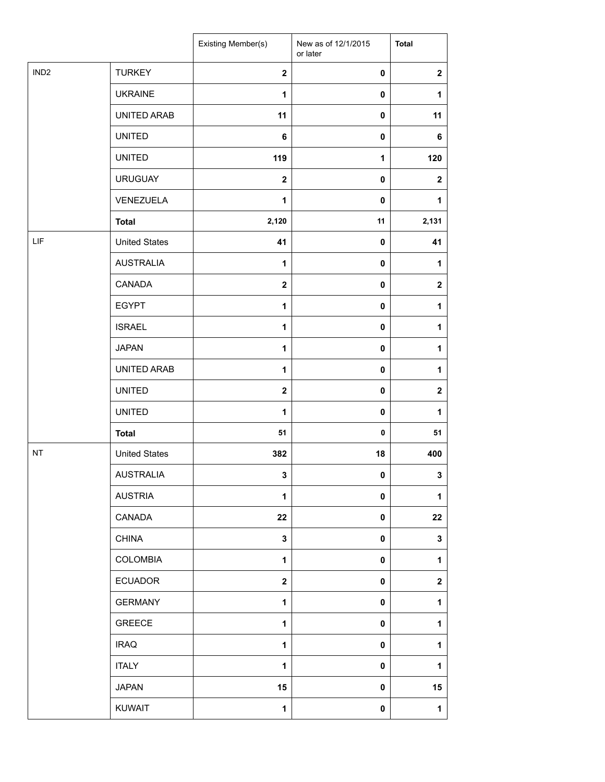|                  |                      | Existing Member(s) | New as of 12/1/2015<br>or later | <b>Total</b>     |
|------------------|----------------------|--------------------|---------------------------------|------------------|
| IND <sub>2</sub> | <b>TURKEY</b>        | $\mathbf{2}$       | 0                               | $\mathbf{2}$     |
|                  | <b>UKRAINE</b>       | $\mathbf{1}$       | 0                               | $\mathbf{1}$     |
|                  | UNITED ARAB          | 11                 | 0                               | 11               |
|                  | <b>UNITED</b>        | 6                  | 0                               | 6                |
|                  | <b>UNITED</b>        | 119                | 1                               | 120              |
|                  | <b>URUGUAY</b>       | $\mathbf{2}$       | $\pmb{0}$                       | $\mathbf{2}$     |
|                  | VENEZUELA            | 1                  | 0                               | $\mathbf{1}$     |
|                  | <b>Total</b>         | 2,120              | 11                              | 2,131            |
| LIF              | <b>United States</b> | 41                 | 0                               | 41               |
|                  | <b>AUSTRALIA</b>     | $\mathbf{1}$       | 0                               | $\mathbf{1}$     |
|                  | <b>CANADA</b>        | $\mathbf{2}$       | 0                               | $\mathbf 2$      |
|                  | <b>EGYPT</b>         | $\mathbf{1}$       | 0                               | $\mathbf{1}$     |
|                  | <b>ISRAEL</b>        | $\mathbf{1}$       | 0                               | $\mathbf{1}$     |
|                  | <b>JAPAN</b>         | $\mathbf{1}$       | 0                               | $\mathbf{1}$     |
|                  | UNITED ARAB          | $\mathbf{1}$       | 0                               | $\mathbf{1}$     |
|                  | <b>UNITED</b>        | $\mathbf{2}$       | 0                               | $\mathbf{2}$     |
|                  | <b>UNITED</b>        | 1                  | 0                               | $\mathbf{1}$     |
|                  | <b>Total</b>         | 51                 | 0                               | 51               |
| NT               | <b>United States</b> | 382                | 18                              | 400              |
|                  | <b>AUSTRALIA</b>     | 3                  | $\mathbf 0$                     | 3                |
|                  | <b>AUSTRIA</b>       | $\mathbf{1}$       | 0                               | 1                |
|                  | CANADA               | 22                 | 0                               | 22               |
|                  | <b>CHINA</b>         | $\mathbf 3$        | 0                               | $\mathbf 3$      |
|                  | <b>COLOMBIA</b>      | $\mathbf 1$        | 0                               | $\mathbf{1}$     |
|                  | <b>ECUADOR</b>       | $\mathbf 2$        | 0                               | $\boldsymbol{2}$ |
|                  | <b>GERMANY</b>       | $\mathbf{1}$       | 0                               | $\mathbf{1}$     |
|                  | <b>GREECE</b>        | $\mathbf{1}$       | 0                               | 1                |
|                  | <b>IRAQ</b>          | $\mathbf 1$        | 0                               | $\mathbf{1}$     |
|                  | <b>ITALY</b>         | $\mathbf{1}$       | 0                               | $\mathbf{1}$     |
|                  | <b>JAPAN</b>         | 15                 | 0                               | 15               |
|                  | <b>KUWAIT</b>        | $\mathbf{1}$       | 0                               | $\mathbf{1}$     |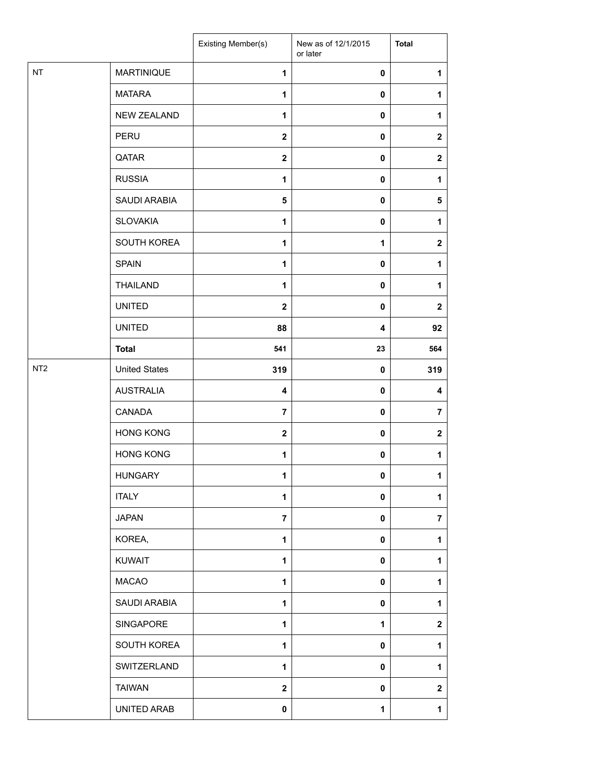|                 |                      | Existing Member(s)      | New as of 12/1/2015<br>or later | <b>Total</b>            |
|-----------------|----------------------|-------------------------|---------------------------------|-------------------------|
| <b>NT</b>       | <b>MARTINIQUE</b>    | 1                       | 0                               | 1                       |
|                 | <b>MATARA</b>        | $\mathbf{1}$            | 0                               | 1                       |
|                 | <b>NEW ZEALAND</b>   | $\mathbf{1}$            | $\mathbf 0$                     | $\mathbf{1}$            |
|                 | PERU                 | $\mathbf{2}$            | 0                               | $\mathbf{2}$            |
|                 | QATAR                | $\mathbf{2}$            | 0                               | $\boldsymbol{2}$        |
|                 | <b>RUSSIA</b>        | 1                       | 0                               | 1                       |
|                 | SAUDI ARABIA         | 5                       | 0                               | 5                       |
|                 | <b>SLOVAKIA</b>      | 1                       | 0                               | $\mathbf{1}$            |
|                 | SOUTH KOREA          | $\mathbf{1}$            | $\mathbf{1}$                    | $\overline{\mathbf{2}}$ |
|                 | <b>SPAIN</b>         | $\mathbf{1}$            | $\mathbf 0$                     | $\mathbf{1}$            |
|                 | <b>THAILAND</b>      | 1                       | 0                               | $\mathbf{1}$            |
|                 | <b>UNITED</b>        | $\mathbf{2}$            | $\mathbf 0$                     | $\boldsymbol{2}$        |
|                 | <b>UNITED</b>        | 88                      | 4                               | 92                      |
|                 | <b>Total</b>         | 541                     | 23                              | 564                     |
| NT <sub>2</sub> | <b>United States</b> | 319                     | $\mathbf 0$                     | 319                     |
|                 | <b>AUSTRALIA</b>     | $\overline{\mathbf{4}}$ | $\pmb{0}$                       | 4                       |
|                 | CANADA               | $\overline{7}$          | $\mathbf 0$                     | $\overline{7}$          |
|                 | <b>HONG KONG</b>     | $\mathbf{2}$            | $\mathbf 0$                     | $\boldsymbol{2}$        |
|                 | <b>HONG KONG</b>     | 1                       | 0                               | 1                       |
|                 | <b>HUNGARY</b>       | 1                       | $\pmb{0}$                       | 1                       |
|                 | <b>ITALY</b>         | $\mathbf{1}$            | 0                               | 1                       |
|                 | <b>JAPAN</b>         | $\overline{7}$          | 0                               | $\overline{7}$          |
|                 | KOREA,               | $\mathbf{1}$            | $\mathbf 0$                     | 1                       |
|                 | <b>KUWAIT</b>        | $\mathbf{1}$            | $\mathbf 0$                     | $\mathbf{1}$            |
|                 | <b>MACAO</b>         | $\mathbf{1}$            | $\mathbf 0$                     | 1                       |
|                 | SAUDI ARABIA         | 1                       | $\mathbf 0$                     | 1                       |
|                 | SINGAPORE            | $\mathbf{1}$            | 1                               | $\mathbf{2}$            |
|                 | SOUTH KOREA          | 1                       | $\pmb{0}$                       | 1                       |
|                 | SWITZERLAND          | $\mathbf{1}$            | $\mathbf 0$                     | 1                       |
|                 | <b>TAIWAN</b>        | $\mathbf{2}$            | $\mathbf 0$                     | $\boldsymbol{2}$        |
|                 | UNITED ARAB          | 0                       | 1                               | $\mathbf{1}$            |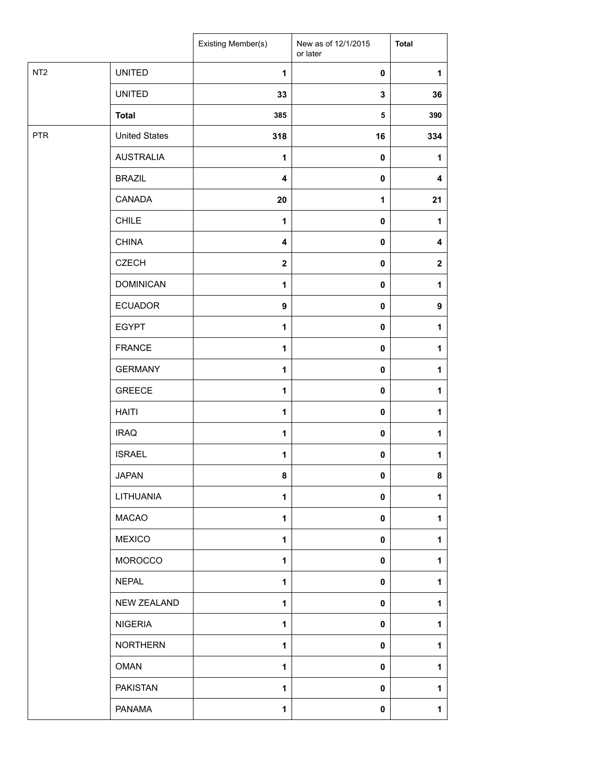|                 |                      | Existing Member(s)      | New as of 12/1/2015<br>or later | <b>Total</b>     |
|-----------------|----------------------|-------------------------|---------------------------------|------------------|
| NT <sub>2</sub> | <b>UNITED</b>        | $\mathbf{1}$            | 0                               | $\mathbf{1}$     |
|                 | <b>UNITED</b>        | 33                      | 3                               | 36               |
|                 | <b>Total</b>         | 385                     | 5                               | 390              |
| <b>PTR</b>      | <b>United States</b> | 318                     | 16                              | 334              |
|                 | <b>AUSTRALIA</b>     | $\mathbf{1}$            | $\pmb{0}$                       | $\mathbf{1}$     |
|                 | <b>BRAZIL</b>        | 4                       | $\pmb{0}$                       | 4                |
|                 | CANADA               | 20                      | $\mathbf 1$                     | 21               |
|                 | <b>CHILE</b>         | $\mathbf{1}$            | $\pmb{0}$                       | 1                |
|                 | <b>CHINA</b>         | $\overline{\mathbf{4}}$ | $\pmb{0}$                       | 4                |
|                 | <b>CZECH</b>         | $\boldsymbol{2}$        | $\pmb{0}$                       | $\boldsymbol{2}$ |
|                 | <b>DOMINICAN</b>     | $\mathbf{1}$            | $\pmb{0}$                       | $\mathbf{1}$     |
|                 | <b>ECUADOR</b>       | 9                       | $\pmb{0}$                       | $\boldsymbol{9}$ |
|                 | <b>EGYPT</b>         | $\mathbf{1}$            | $\pmb{0}$                       | 1                |
|                 | <b>FRANCE</b>        | $\mathbf{1}$            | 0                               | $\mathbf{1}$     |
|                 | <b>GERMANY</b>       | $\mathbf{1}$            | 0                               | 1                |
|                 | <b>GREECE</b>        | $\mathbf{1}$            | 0                               | $\mathbf{1}$     |
|                 | <b>HAITI</b>         | $\mathbf{1}$            | $\pmb{0}$                       | $\mathbf{1}$     |
|                 | <b>IRAQ</b>          | $\mathbf{1}$            | $\pmb{0}$                       | $\mathbf{1}$     |
|                 | <b>ISRAEL</b>        | $\mathbf{1}$            | $\pmb{0}$                       | $\mathbf{1}$     |
|                 | <b>JAPAN</b>         | 8                       | $\mathbf{0}$                    | 8                |
|                 | LITHUANIA            | $\mathbf{1}$            | 0                               | 1                |
|                 | <b>MACAO</b>         | $\mathbf{1}$            | $\pmb{0}$                       | $\mathbf{1}$     |
|                 | <b>MEXICO</b>        | $\mathbf{1}$            | $\pmb{0}$                       | 1                |
|                 | <b>MOROCCO</b>       | $\mathbf{1}$            | $\pmb{0}$                       | $\mathbf{1}$     |
|                 | <b>NEPAL</b>         | 1                       | $\pmb{0}$                       | 1                |
|                 | NEW ZEALAND          | $\mathbf{1}$            | 0                               | 1                |
|                 | <b>NIGERIA</b>       | $\mathbf{1}$            | 0                               | $\mathbf{1}$     |
|                 | <b>NORTHERN</b>      | $\mathbf{1}$            | 0                               | $\mathbf{1}$     |
|                 | <b>OMAN</b>          | $\mathbf{1}$            | 0                               | $\mathbf{1}$     |
|                 | <b>PAKISTAN</b>      | 1                       | $\pmb{0}$                       | 1                |
|                 | PANAMA               | $\mathbf{1}$            | 0                               | $\mathbf{1}$     |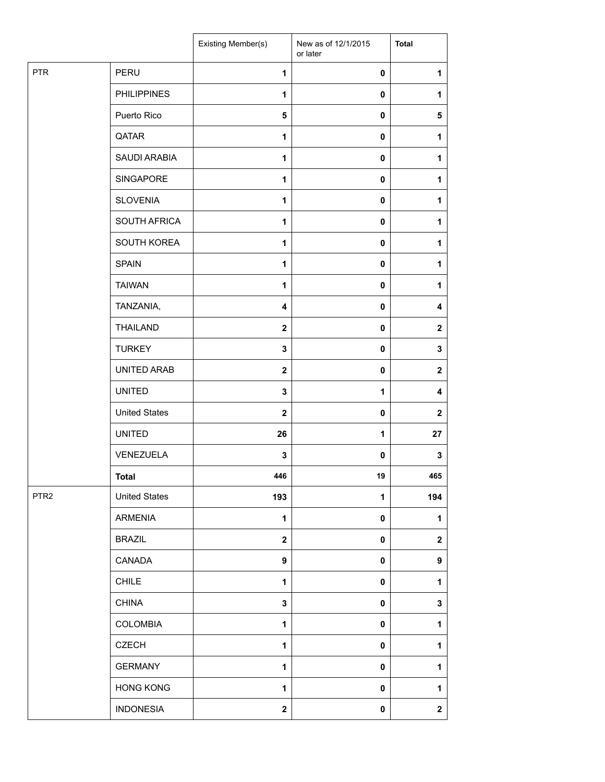|                  |                      | Existing Member(s) | New as of 12/1/2015<br>or later | <b>Total</b>     |
|------------------|----------------------|--------------------|---------------------------------|------------------|
| <b>PTR</b>       | PERU                 | $\mathbf{1}$       | $\pmb{0}$                       | 1                |
|                  | <b>PHILIPPINES</b>   | $\mathbf{1}$       | $\mathbf 0$                     | 1                |
|                  | Puerto Rico          | 5                  | $\mathbf 0$                     | ${\bf 5}$        |
|                  | QATAR                | 1                  | $\mathbf 0$                     | 1                |
|                  | SAUDI ARABIA         | $\mathbf{1}$       | $\pmb{0}$                       | 1                |
|                  | SINGAPORE            | 1                  | $\mathbf 0$                     | 1                |
|                  | <b>SLOVENIA</b>      | $\mathbf{1}$       | $\pmb{0}$                       | 1                |
|                  | SOUTH AFRICA         | $\mathbf{1}$       | $\mathbf 0$                     | 1                |
|                  | SOUTH KOREA          | 1                  | $\mathbf 0$                     | 1                |
|                  | <b>SPAIN</b>         | $\mathbf{1}$       | $\pmb{0}$                       | 1                |
|                  | <b>TAIWAN</b>        | $\mathbf{1}$       | $\mathbf 0$                     | 1                |
|                  | TANZANIA,            | 4                  | $\mathbf 0$                     | 4                |
|                  | <b>THAILAND</b>      | $\mathbf{2}$       | $\mathbf 0$                     | $\mathbf{2}$     |
|                  | <b>TURKEY</b>        | 3                  | $\mathbf 0$                     | $\mathbf{3}$     |
|                  | UNITED ARAB          | $\mathbf{2}$       | $\pmb{0}$                       | $\boldsymbol{2}$ |
|                  | <b>UNITED</b>        | 3                  | 1                               | 4                |
|                  | <b>United States</b> | $\mathbf{2}$       | $\pmb{0}$                       | $\mathbf{2}$     |
|                  | <b>UNITED</b>        | 26                 | $\mathbf{1}$                    | 27               |
|                  | VENEZUELA            | 3                  | $\mathbf 0$                     | $\mathbf 3$      |
|                  | <b>Total</b>         | 446                | 19                              | 465              |
| PTR <sub>2</sub> | <b>United States</b> | 193                | $\mathbf 1$                     | 194              |
|                  | <b>ARMENIA</b>       | $\mathbf{1}$       | $\mathbf 0$                     | 1                |
|                  | <b>BRAZIL</b>        | $\mathbf 2$        | $\pmb{0}$                       | $\mathbf{2}$     |
|                  | CANADA               | 9                  | $\mathbf 0$                     | $\boldsymbol{9}$ |
|                  | <b>CHILE</b>         | 1                  | $\mathbf 0$                     | 1                |
|                  | <b>CHINA</b>         | 3                  | $\mathbf 0$                     | $\mathbf 3$      |
|                  | COLOMBIA             | 1                  | $\mathbf 0$                     | 1                |
|                  | <b>CZECH</b>         | 1                  | $\mathbf 0$                     | 1                |
|                  | <b>GERMANY</b>       | 1                  | $\pmb{0}$                       | 1                |
|                  | <b>HONG KONG</b>     | 1                  | $\pmb{0}$                       | 1                |
|                  | <b>INDONESIA</b>     | $\mathbf 2$        | $\pmb{0}$                       | $\mathbf{2}$     |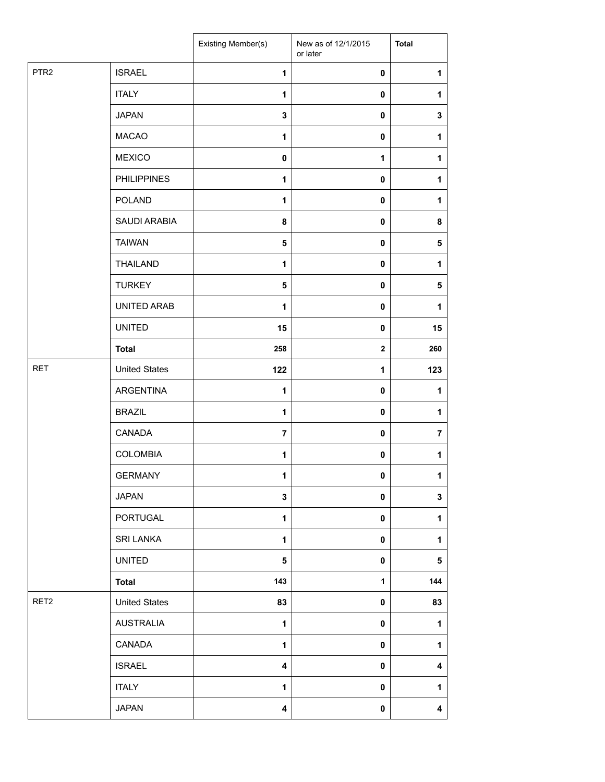|                  |                      | Existing Member(s)      | New as of 12/1/2015<br>or later | <b>Total</b>            |
|------------------|----------------------|-------------------------|---------------------------------|-------------------------|
| PTR <sub>2</sub> | <b>ISRAEL</b>        | $\mathbf{1}$            | $\pmb{0}$                       | $\mathbf{1}$            |
|                  | <b>ITALY</b>         | $\mathbf{1}$            | 0                               | 1                       |
|                  | <b>JAPAN</b>         | $\mathbf{3}$            | 0                               | $\mathbf 3$             |
|                  | <b>MACAO</b>         | 1                       | $\mathbf 0$                     | 1                       |
|                  | <b>MEXICO</b>        | $\pmb{0}$               | $\mathbf{1}$                    | 1                       |
|                  | <b>PHILIPPINES</b>   | $\mathbf{1}$            | $\pmb{0}$                       | 1                       |
|                  | POLAND               | $\mathbf{1}$            | 0                               | 1                       |
|                  | SAUDI ARABIA         | 8                       | 0                               | 8                       |
|                  | <b>TAIWAN</b>        | 5                       | 0                               | 5                       |
|                  | <b>THAILAND</b>      | $\mathbf{1}$            | 0                               | 1                       |
|                  | <b>TURKEY</b>        | 5                       | 0                               | 5                       |
|                  | UNITED ARAB          | 1                       | $\pmb{0}$                       | 1                       |
|                  | <b>UNITED</b>        | 15                      | $\mathbf 0$                     | 15                      |
|                  | <b>Total</b>         | 258                     | $\mathbf{2}$                    | 260                     |
| <b>RET</b>       | <b>United States</b> | 122                     | 1                               | 123                     |
|                  | <b>ARGENTINA</b>     | $\mathbf{1}$            | 0                               | 1                       |
|                  | <b>BRAZIL</b>        | 1                       | 0                               | 1                       |
|                  | CANADA               | $\overline{7}$          | 0                               | $\overline{7}$          |
|                  | <b>COLOMBIA</b>      | 1                       | 0                               | $\mathbf{1}$            |
|                  | <b>GERMANY</b>       | 1                       | $\mathbf 0$                     | $\blacktriangleleft$    |
|                  | <b>JAPAN</b>         | $\mathbf 3$             | 0                               | $\mathbf 3$             |
|                  | PORTUGAL             | $\mathbf{1}$            | 0                               | $\mathbf{1}$            |
|                  | SRI LANKA            | $\mathbf{1}$            | 0                               | 1                       |
|                  | <b>UNITED</b>        | 5                       | 0                               | 5                       |
|                  | <b>Total</b>         | 143                     | $\mathbf{1}$                    | 144                     |
| RET2             | <b>United States</b> | 83                      | $\pmb{0}$                       | 83                      |
|                  | <b>AUSTRALIA</b>     | $\mathbf{1}$            | $\pmb{0}$                       | $\mathbf{1}$            |
|                  | CANADA               | $\mathbf 1$             | 0                               | $\mathbf{1}$            |
|                  | <b>ISRAEL</b>        | $\overline{\mathbf{4}}$ | 0                               | 4                       |
|                  | <b>ITALY</b>         | 1                       | $\pmb{0}$                       | 1                       |
|                  | <b>JAPAN</b>         | 4                       | 0                               | $\overline{\mathbf{4}}$ |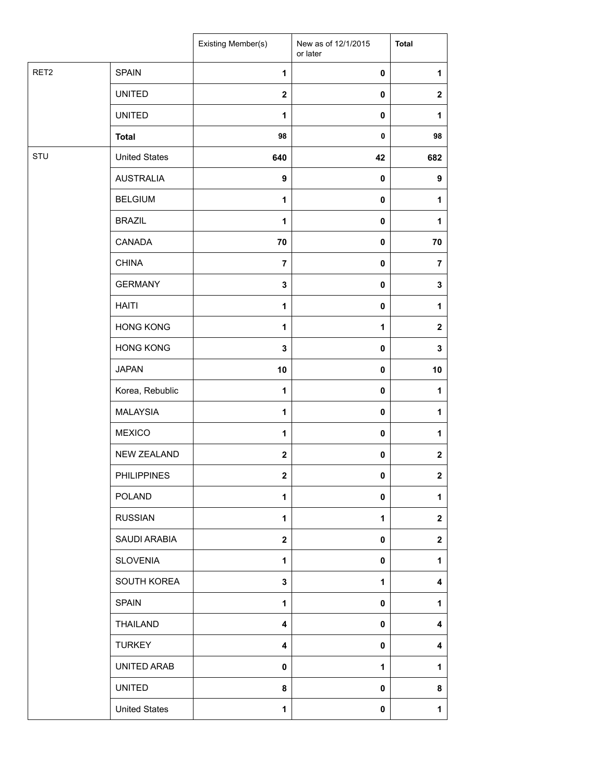|                  |                      | Existing Member(s)      | New as of 12/1/2015<br>or later | <b>Total</b>     |
|------------------|----------------------|-------------------------|---------------------------------|------------------|
| RET <sub>2</sub> | <b>SPAIN</b>         | 1                       | 0                               | 1                |
|                  | <b>UNITED</b>        | $\mathbf{2}$            | $\pmb{0}$                       | $\mathbf{2}$     |
|                  | <b>UNITED</b>        | $\mathbf{1}$            | 0                               | 1                |
|                  | <b>Total</b>         | 98                      | $\pmb{0}$                       | 98               |
| STU              | <b>United States</b> | 640                     | 42                              | 682              |
|                  | <b>AUSTRALIA</b>     | $\boldsymbol{9}$        | $\pmb{0}$                       | $\boldsymbol{9}$ |
|                  | <b>BELGIUM</b>       | 1                       | 0                               | 1                |
|                  | <b>BRAZIL</b>        | 1                       | 0                               | 1                |
|                  | CANADA               | 70                      | 0                               | 70               |
|                  | <b>CHINA</b>         | $\overline{7}$          | 0                               | $\overline{7}$   |
|                  | <b>GERMANY</b>       | $\mathbf 3$             | 0                               | 3                |
|                  | <b>HAITI</b>         | $\mathbf{1}$            | $\pmb{0}$                       | 1                |
|                  | <b>HONG KONG</b>     | 1                       | 1                               | $\mathbf 2$      |
|                  | <b>HONG KONG</b>     | $\mathbf 3$             | 0                               | 3                |
|                  | <b>JAPAN</b>         | 10                      | 0                               | 10               |
|                  | Korea, Rebublic      | $\mathbf{1}$            | 0                               | 1                |
|                  | <b>MALAYSIA</b>      | 1                       | 0                               | 1                |
|                  | <b>MEXICO</b>        | $\mathbf{1}$            | 0                               | 1                |
|                  | NEW ZEALAND          | $\mathbf{2}$            | 0                               | $\mathbf 2$      |
|                  | <b>PHILIPPINES</b>   | $\mathbf{2}$            | 0                               | $\mathbf 2$      |
|                  | <b>POLAND</b>        | $\mathbf{1}$            | 0                               | $\mathbf{1}$     |
|                  | <b>RUSSIAN</b>       | $\mathbf{1}$            | 1                               | $\mathbf{2}$     |
|                  | SAUDI ARABIA         | $\overline{\mathbf{2}}$ | $\mathbf 0$                     | $\mathbf{2}$     |
|                  | <b>SLOVENIA</b>      | 1                       | $\mathbf 0$                     | 1                |
|                  | SOUTH KOREA          | 3                       | 1                               | 4                |
|                  | <b>SPAIN</b>         | $\mathbf{1}$            | 0                               | 1                |
|                  | <b>THAILAND</b>      | 4                       | 0                               | 4                |
|                  | <b>TURKEY</b>        | $\overline{\mathbf{4}}$ | $\mathbf 0$                     | 4                |
|                  | UNITED ARAB          | $\mathbf 0$             | $\mathbf{1}$                    | 1                |
|                  | <b>UNITED</b>        | 8                       | 0                               | 8                |
|                  | <b>United States</b> | 1                       | 0                               | 1                |
|                  |                      |                         |                                 |                  |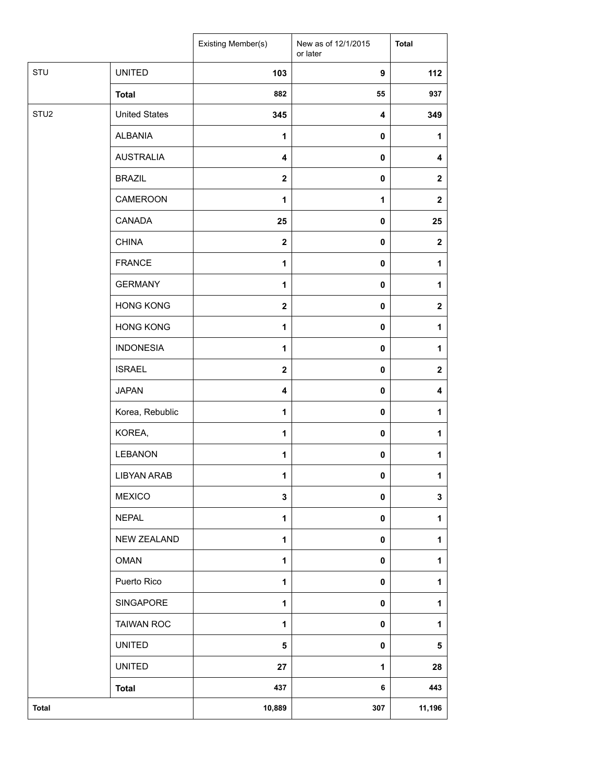|                  |                      | Existing Member(s)      | New as of 12/1/2015<br>or later | <b>Total</b>     |
|------------------|----------------------|-------------------------|---------------------------------|------------------|
| STU              | <b>UNITED</b>        | 103                     | 9                               | 112              |
|                  | <b>Total</b>         | 882                     | 55                              | 937              |
| STU <sub>2</sub> | <b>United States</b> | 345                     | 4                               | 349              |
|                  | <b>ALBANIA</b>       | 1                       | 0                               | 1                |
|                  | <b>AUSTRALIA</b>     | $\overline{\mathbf{4}}$ | 0                               | 4                |
|                  | <b>BRAZIL</b>        | $\mathbf{2}$            | 0                               | $\mathbf 2$      |
|                  | CAMEROON             | 1                       | $\mathbf{1}$                    | $\mathbf{2}$     |
|                  | CANADA               | 25                      | $\pmb{0}$                       | 25               |
|                  | <b>CHINA</b>         | $\boldsymbol{2}$        | 0                               | $\boldsymbol{2}$ |
|                  | <b>FRANCE</b>        | $\mathbf{1}$            | 0                               | $\mathbf{1}$     |
|                  | <b>GERMANY</b>       | $\mathbf{1}$            | 0                               | 1                |
|                  | <b>HONG KONG</b>     | $\mathbf{2}$            | 0                               | $\mathbf 2$      |
|                  | <b>HONG KONG</b>     | $\mathbf{1}$            | 0                               | $\mathbf{1}$     |
|                  | <b>INDONESIA</b>     | 1                       | 0                               | 1                |
|                  | <b>ISRAEL</b>        | $\mathbf{2}$            | 0                               | $\mathbf 2$      |
|                  | <b>JAPAN</b>         | $\overline{\mathbf{4}}$ | 0                               | 4                |
|                  | Korea, Rebublic      | 1                       | 0                               | 1                |
|                  | KOREA,               | 1                       | 0                               | $\mathbf{1}$     |
|                  | LEBANON              | 1                       | 0                               | 1                |
|                  | <b>LIBYAN ARAB</b>   | 1                       | 0                               | $\mathbf{1}$     |
|                  | <b>MEXICO</b>        | 3                       | 0                               | $\mathbf 3$      |
|                  | <b>NEPAL</b>         | $\mathbf{1}$            | 0                               | $\mathbf{1}$     |
|                  | NEW ZEALAND          | 1                       | 0                               | $\mathbf{1}$     |
|                  | <b>OMAN</b>          | 1                       | 0                               | $\mathbf{1}$     |
|                  | Puerto Rico          | $\mathbf{1}$            | 0                               | $\mathbf{1}$     |
|                  | SINGAPORE            | 1                       | 0                               | $\mathbf{1}$     |
|                  | <b>TAIWAN ROC</b>    | 1                       | 0                               | $\mathbf{1}$     |
|                  | <b>UNITED</b>        | 5                       | 0                               | 5                |
|                  | <b>UNITED</b>        | 27                      | 1                               | 28               |
|                  | <b>Total</b>         | 437                     | 6                               | 443              |
| <b>Total</b>     |                      | 10,889                  | 307                             | 11,196           |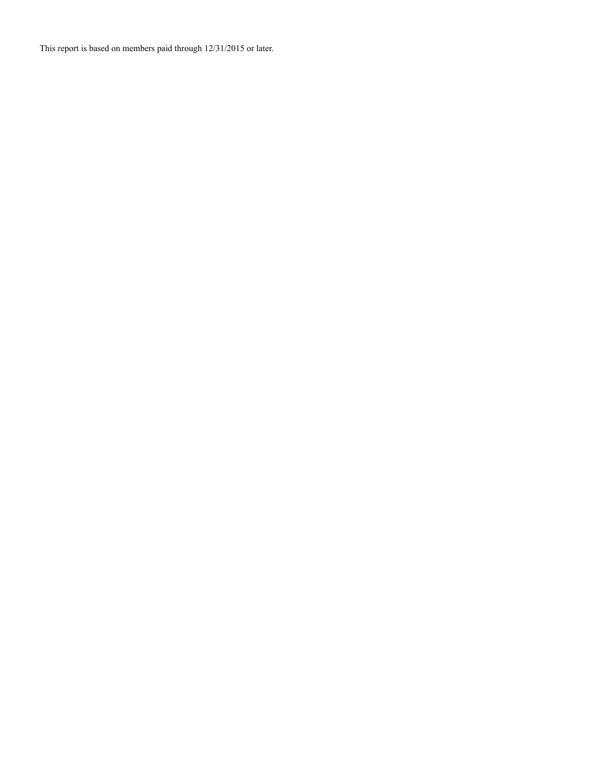This report is based on members paid through 12/31/2015 or later.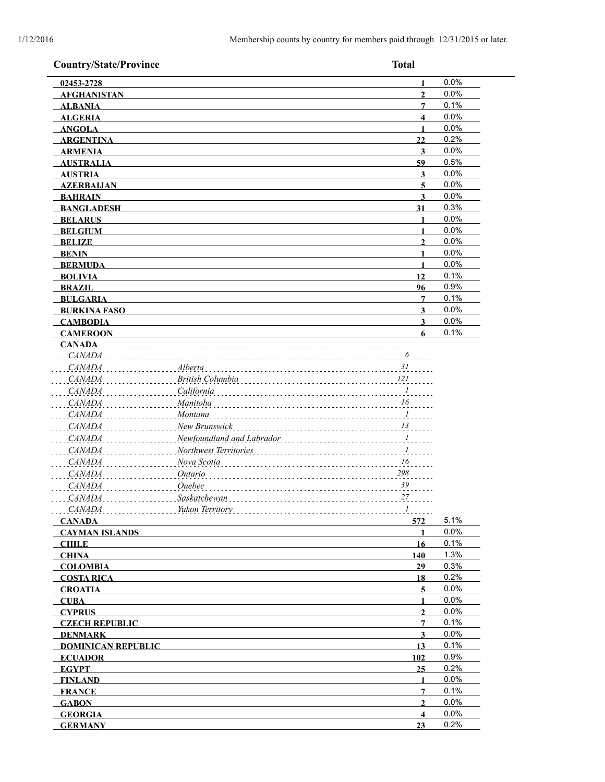| 02453-2728<br><b>AFGHANISTAN</b><br><b>ALBANIA</b><br><b>ALGERIA</b><br><b>ANGOLA</b><br><b>ARGENTINA</b><br><b>ARMENIA</b><br><b>AUSTRALIA</b><br><b>AUSTRIA</b><br><b>AZERBAIJAN</b><br><b>BAHRAIN</b><br><b>BANGLADESH</b><br><b>BELARUS</b><br><b>BELGIUM</b><br><b>BELIZE</b><br><b>BENIN</b><br><b>BERMUDA</b><br><b>BOLIVIA</b><br><b>BRAZIL</b><br><b>BULGARIA</b><br><b>BURKINA FASO</b><br><b>CAMBODIA</b><br><b>CAMEROON</b><br><b>CANADA</b><br><b>CANADA</b><br>CANADA<br>Alberta<br>British Columbia<br>CANADA<br><b>CANADA</b><br>California<br><i>CANADA</i><br>Manitoba<br><b>CANADA</b><br><b>Montana</b><br><b>CANADA</b><br>New Brunswick<br>Newfoundland and Labrador<br><i>CANADA</i><br><b>CANADA</b><br>Northwest Territories<br><b>CANADA</b><br>Nova Scotia<br><b>CANADA</b><br>Ontario | $\mathbf{1}$<br>$\overline{2}$<br>$\overline{7}$<br>$\overline{\mathbf{4}}$<br>1<br>22<br>$\mathbf{3}$<br>59<br>3<br>5<br>3<br>31<br>1<br>$\mathbf{1}$<br>$\mathbf{2}$<br>1<br>1<br>12<br>96<br>7<br>3<br>$\overline{\mathbf{3}}$<br>6<br>$\ldots \ldots$ <sup>6</sup> | 0.0%<br>0.0%<br>0.1%<br>0.0%<br>0.0%<br>0.2%<br>0.0%<br>0.5%<br>0.0%<br>0.0%<br>0.0%<br>0.3%<br>0.0%<br>0.0%<br>0.0%<br>0.0%<br>0.0%<br>0.1%<br>0.9%<br>0.1%<br>0.0%<br>0.0%<br>0.1% |
|-------------------------------------------------------------------------------------------------------------------------------------------------------------------------------------------------------------------------------------------------------------------------------------------------------------------------------------------------------------------------------------------------------------------------------------------------------------------------------------------------------------------------------------------------------------------------------------------------------------------------------------------------------------------------------------------------------------------------------------------------------------------------------------------------------------------|------------------------------------------------------------------------------------------------------------------------------------------------------------------------------------------------------------------------------------------------------------------------|--------------------------------------------------------------------------------------------------------------------------------------------------------------------------------------|
|                                                                                                                                                                                                                                                                                                                                                                                                                                                                                                                                                                                                                                                                                                                                                                                                                   |                                                                                                                                                                                                                                                                        |                                                                                                                                                                                      |
|                                                                                                                                                                                                                                                                                                                                                                                                                                                                                                                                                                                                                                                                                                                                                                                                                   |                                                                                                                                                                                                                                                                        |                                                                                                                                                                                      |
|                                                                                                                                                                                                                                                                                                                                                                                                                                                                                                                                                                                                                                                                                                                                                                                                                   |                                                                                                                                                                                                                                                                        |                                                                                                                                                                                      |
|                                                                                                                                                                                                                                                                                                                                                                                                                                                                                                                                                                                                                                                                                                                                                                                                                   |                                                                                                                                                                                                                                                                        |                                                                                                                                                                                      |
|                                                                                                                                                                                                                                                                                                                                                                                                                                                                                                                                                                                                                                                                                                                                                                                                                   |                                                                                                                                                                                                                                                                        |                                                                                                                                                                                      |
|                                                                                                                                                                                                                                                                                                                                                                                                                                                                                                                                                                                                                                                                                                                                                                                                                   |                                                                                                                                                                                                                                                                        |                                                                                                                                                                                      |
|                                                                                                                                                                                                                                                                                                                                                                                                                                                                                                                                                                                                                                                                                                                                                                                                                   |                                                                                                                                                                                                                                                                        |                                                                                                                                                                                      |
|                                                                                                                                                                                                                                                                                                                                                                                                                                                                                                                                                                                                                                                                                                                                                                                                                   |                                                                                                                                                                                                                                                                        |                                                                                                                                                                                      |
|                                                                                                                                                                                                                                                                                                                                                                                                                                                                                                                                                                                                                                                                                                                                                                                                                   |                                                                                                                                                                                                                                                                        |                                                                                                                                                                                      |
|                                                                                                                                                                                                                                                                                                                                                                                                                                                                                                                                                                                                                                                                                                                                                                                                                   |                                                                                                                                                                                                                                                                        |                                                                                                                                                                                      |
|                                                                                                                                                                                                                                                                                                                                                                                                                                                                                                                                                                                                                                                                                                                                                                                                                   |                                                                                                                                                                                                                                                                        |                                                                                                                                                                                      |
|                                                                                                                                                                                                                                                                                                                                                                                                                                                                                                                                                                                                                                                                                                                                                                                                                   |                                                                                                                                                                                                                                                                        |                                                                                                                                                                                      |
|                                                                                                                                                                                                                                                                                                                                                                                                                                                                                                                                                                                                                                                                                                                                                                                                                   |                                                                                                                                                                                                                                                                        |                                                                                                                                                                                      |
|                                                                                                                                                                                                                                                                                                                                                                                                                                                                                                                                                                                                                                                                                                                                                                                                                   |                                                                                                                                                                                                                                                                        |                                                                                                                                                                                      |
|                                                                                                                                                                                                                                                                                                                                                                                                                                                                                                                                                                                                                                                                                                                                                                                                                   |                                                                                                                                                                                                                                                                        |                                                                                                                                                                                      |
|                                                                                                                                                                                                                                                                                                                                                                                                                                                                                                                                                                                                                                                                                                                                                                                                                   |                                                                                                                                                                                                                                                                        |                                                                                                                                                                                      |
|                                                                                                                                                                                                                                                                                                                                                                                                                                                                                                                                                                                                                                                                                                                                                                                                                   |                                                                                                                                                                                                                                                                        |                                                                                                                                                                                      |
|                                                                                                                                                                                                                                                                                                                                                                                                                                                                                                                                                                                                                                                                                                                                                                                                                   |                                                                                                                                                                                                                                                                        |                                                                                                                                                                                      |
|                                                                                                                                                                                                                                                                                                                                                                                                                                                                                                                                                                                                                                                                                                                                                                                                                   |                                                                                                                                                                                                                                                                        |                                                                                                                                                                                      |
|                                                                                                                                                                                                                                                                                                                                                                                                                                                                                                                                                                                                                                                                                                                                                                                                                   |                                                                                                                                                                                                                                                                        |                                                                                                                                                                                      |
|                                                                                                                                                                                                                                                                                                                                                                                                                                                                                                                                                                                                                                                                                                                                                                                                                   |                                                                                                                                                                                                                                                                        |                                                                                                                                                                                      |
|                                                                                                                                                                                                                                                                                                                                                                                                                                                                                                                                                                                                                                                                                                                                                                                                                   |                                                                                                                                                                                                                                                                        |                                                                                                                                                                                      |
|                                                                                                                                                                                                                                                                                                                                                                                                                                                                                                                                                                                                                                                                                                                                                                                                                   |                                                                                                                                                                                                                                                                        |                                                                                                                                                                                      |
| <i><u>Ouebec</u></i><br><i>CANADA</i><br>CANADA<br>Saskatchewan                                                                                                                                                                                                                                                                                                                                                                                                                                                                                                                                                                                                                                                                                                                                                   | $\ldots \ldots \ldots I$<br>16<br>298<br>39<br>27                                                                                                                                                                                                                      |                                                                                                                                                                                      |
| CANADA<br>Yukon Territory                                                                                                                                                                                                                                                                                                                                                                                                                                                                                                                                                                                                                                                                                                                                                                                         | $\boldsymbol{l}$                                                                                                                                                                                                                                                       |                                                                                                                                                                                      |
| <b>CANADA</b>                                                                                                                                                                                                                                                                                                                                                                                                                                                                                                                                                                                                                                                                                                                                                                                                     | 572                                                                                                                                                                                                                                                                    | 5.1%                                                                                                                                                                                 |
| <b>CAYMAN ISLANDS</b>                                                                                                                                                                                                                                                                                                                                                                                                                                                                                                                                                                                                                                                                                                                                                                                             | $\mathbf{1}$                                                                                                                                                                                                                                                           | 0.0%                                                                                                                                                                                 |
| <b>CHILE</b>                                                                                                                                                                                                                                                                                                                                                                                                                                                                                                                                                                                                                                                                                                                                                                                                      | 16                                                                                                                                                                                                                                                                     | 0.1%                                                                                                                                                                                 |
| <b>CHINA</b>                                                                                                                                                                                                                                                                                                                                                                                                                                                                                                                                                                                                                                                                                                                                                                                                      | 140                                                                                                                                                                                                                                                                    | 1.3%                                                                                                                                                                                 |
| <b>COLOMBIA</b>                                                                                                                                                                                                                                                                                                                                                                                                                                                                                                                                                                                                                                                                                                                                                                                                   | 29                                                                                                                                                                                                                                                                     | 0.3%                                                                                                                                                                                 |
| <b>COSTA RICA</b>                                                                                                                                                                                                                                                                                                                                                                                                                                                                                                                                                                                                                                                                                                                                                                                                 | <u>18</u>                                                                                                                                                                                                                                                              | 0.2%                                                                                                                                                                                 |
| <b>CROATIA</b>                                                                                                                                                                                                                                                                                                                                                                                                                                                                                                                                                                                                                                                                                                                                                                                                    | 5                                                                                                                                                                                                                                                                      | 0.0%                                                                                                                                                                                 |
| <b>CUBA</b>                                                                                                                                                                                                                                                                                                                                                                                                                                                                                                                                                                                                                                                                                                                                                                                                       | 1                                                                                                                                                                                                                                                                      | 0.0%                                                                                                                                                                                 |
| <b>CYPRUS</b>                                                                                                                                                                                                                                                                                                                                                                                                                                                                                                                                                                                                                                                                                                                                                                                                     | $\overline{2}$                                                                                                                                                                                                                                                         | 0.0%                                                                                                                                                                                 |
| <b>CZECH REPUBLIC</b>                                                                                                                                                                                                                                                                                                                                                                                                                                                                                                                                                                                                                                                                                                                                                                                             | $\overline{7}$                                                                                                                                                                                                                                                         | 0.1%                                                                                                                                                                                 |
| <b>DENMARK</b>                                                                                                                                                                                                                                                                                                                                                                                                                                                                                                                                                                                                                                                                                                                                                                                                    | $\overline{\mathbf{3}}$                                                                                                                                                                                                                                                | 0.0%                                                                                                                                                                                 |
| <b>DOMINICAN REPUBLIC</b>                                                                                                                                                                                                                                                                                                                                                                                                                                                                                                                                                                                                                                                                                                                                                                                         | 13                                                                                                                                                                                                                                                                     | 0.1%                                                                                                                                                                                 |
| <b>ECUADOR</b>                                                                                                                                                                                                                                                                                                                                                                                                                                                                                                                                                                                                                                                                                                                                                                                                    | 102                                                                                                                                                                                                                                                                    | 0.9%                                                                                                                                                                                 |
| <b>EGYPT</b>                                                                                                                                                                                                                                                                                                                                                                                                                                                                                                                                                                                                                                                                                                                                                                                                      | 25                                                                                                                                                                                                                                                                     | 0.2%                                                                                                                                                                                 |
| <b>FINLAND</b>                                                                                                                                                                                                                                                                                                                                                                                                                                                                                                                                                                                                                                                                                                                                                                                                    | 1                                                                                                                                                                                                                                                                      | 0.0%                                                                                                                                                                                 |
| <b>FRANCE</b>                                                                                                                                                                                                                                                                                                                                                                                                                                                                                                                                                                                                                                                                                                                                                                                                     | $\overline{7}$                                                                                                                                                                                                                                                         | 0.1%                                                                                                                                                                                 |
| <b>GABON</b>                                                                                                                                                                                                                                                                                                                                                                                                                                                                                                                                                                                                                                                                                                                                                                                                      | $\overline{2}$                                                                                                                                                                                                                                                         | 0.0%                                                                                                                                                                                 |
| <b>GEORGIA</b>                                                                                                                                                                                                                                                                                                                                                                                                                                                                                                                                                                                                                                                                                                                                                                                                    | $\overline{\mathbf{4}}$                                                                                                                                                                                                                                                | 0.0%                                                                                                                                                                                 |
| <b>GERMANY</b>                                                                                                                                                                                                                                                                                                                                                                                                                                                                                                                                                                                                                                                                                                                                                                                                    | 23                                                                                                                                                                                                                                                                     | 0.2%                                                                                                                                                                                 |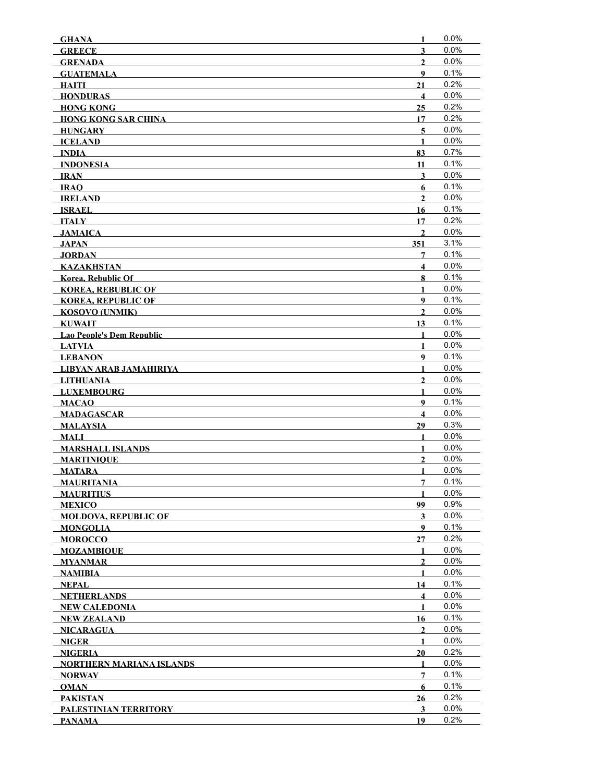| <b>GHANA</b>                               | 1                       | 0.0%         |
|--------------------------------------------|-------------------------|--------------|
| <b>GREECE</b>                              | $\mathbf{3}$            | 0.0%         |
| <b>GRENADA</b>                             | $\overline{2}$          | 0.0%         |
| <b>GUATEMALA</b>                           | 9                       | 0.1%         |
| HAITI                                      | 21                      | 0.2%         |
| <b>HONDURAS</b>                            | $\overline{\mathbf{4}}$ | $0.0\%$      |
| <b>HONG KONG</b>                           | 25                      | 0.2%         |
| <b>HONG KONG SAR CHINA</b>                 | 17                      | 0.2%         |
| <b>HUNGARY</b>                             | 5                       | 0.0%         |
| <b>ICELAND</b>                             | $\mathbf{1}$            | 0.0%         |
| <b>INDIA</b>                               | 83                      | 0.7%         |
| <b>INDONESIA</b>                           | 11                      | 0.1%         |
| <b>IRAN</b>                                | $\mathbf{3}$            | 0.0%         |
| IRAO                                       | 6                       | 0.1%         |
| <b>IRELAND</b>                             | $\mathbf{2}$            | 0.0%         |
| <b>ISRAEL</b>                              | 16                      | 0.1%         |
| <b>ITALY</b>                               | 17                      | 0.2%         |
| <b>JAMAICA</b>                             | $\overline{2}$          | $0.0\%$      |
| JAPAN                                      | 351                     | 3.1%         |
| <b>JORDAN</b>                              | 7                       | 0.1%         |
| <b>KAZAKHSTAN</b>                          | $\overline{\mathbf{4}}$ | 0.0%<br>0.1% |
| Korea, Rebublic Of                         | 8                       | 0.0%         |
| <b>KOREA, REBUBLIC OF</b>                  | $\mathbf{1}$            | 0.1%         |
| <b>KOREA, REPUBLIC OF</b>                  | $\boldsymbol{Q}$        |              |
| <b>KOSOVO (UNMIK)</b>                      | $\mathbf{2}$            | 0.0%<br>0.1% |
| <b>KUWAIT</b>                              | 13<br>$\mathbf{1}$      | 0.0%         |
| Lao People's Dem Republic                  | $\mathbf{1}$            | 0.0%         |
| <b>LATVIA</b>                              | 9                       | 0.1%         |
| <b>LEBANON</b>                             | 1                       | $0.0\%$      |
| LIBYAN ARAB JAMAHIRIYA<br><b>LITHUANIA</b> | $\mathbf{2}$            | 0.0%         |
| <b>LUXEMBOURG</b>                          | 1                       | 0.0%         |
| <b>MACAO</b>                               | 9                       | 0.1%         |
| <b>MADAGASCAR</b>                          | $\overline{\mathbf{4}}$ | 0.0%         |
| <b>MALAYSIA</b>                            | 29                      | 0.3%         |
| <b>MALI</b>                                | $\mathbf{1}$            | 0.0%         |
| <b>MARSHALL ISLANDS</b>                    | $\mathbf{1}$            | 0.0%         |
| <b>MARTINIQUE</b>                          | $\overline{2}$          | 0.0%         |
| <b>MATARA</b>                              | $\mathbf{1}$            | 0.0%         |
| <b>MAURITANIA</b>                          | 7                       | 0.1%         |
| <b>MAURITIUS</b>                           | 1                       | 0.0%         |
| <b>MEXICO</b>                              | 99                      | 0.9%         |
| <b>MOLDOVA. REPUBLIC OF</b>                | 3                       | $0.0\%$      |
| <b>MONGOLIA</b>                            | 9                       | 0.1%         |
| <b>MOROCCO</b>                             | 27                      | 0.2%         |
| <b>MOZAMBIQUE</b>                          | 1                       | $0.0\%$      |
| <b>MYANMAR</b>                             | $\mathbf{2}$            | 0.0%         |
| <b>NAMIBIA</b>                             | $\mathbf{1}$            | 0.0%         |
| NEPAL                                      | 14                      | 0.1%         |
| NETHERLANDS                                | $\overline{\mathbf{4}}$ | 0.0%         |
| NEW CALEDONIA                              | $\mathbf{1}$            | 0.0%         |
| NEW ZEALAND                                | 16                      | 0.1%         |
| NICARAGUA                                  | $\overline{2}$          | 0.0%         |
| <b>NIGER</b>                               | 1                       | $0.0\%$      |
| <b>NIGERIA</b>                             | 20                      | 0.2%         |
| NORTHERN MARIANA ISLANDS                   | 1                       | 0.0%         |
| NORWAY                                     | 7                       | 0.1%         |
| <b>OMAN</b>                                | 6                       | 0.1%         |
| PAKISTAN                                   | 26                      | 0.2%         |
| PALESTINIAN TERRITORY                      | 3                       | $0.0\%$      |
| <b>PANAMA</b>                              | 19                      | 0.2%         |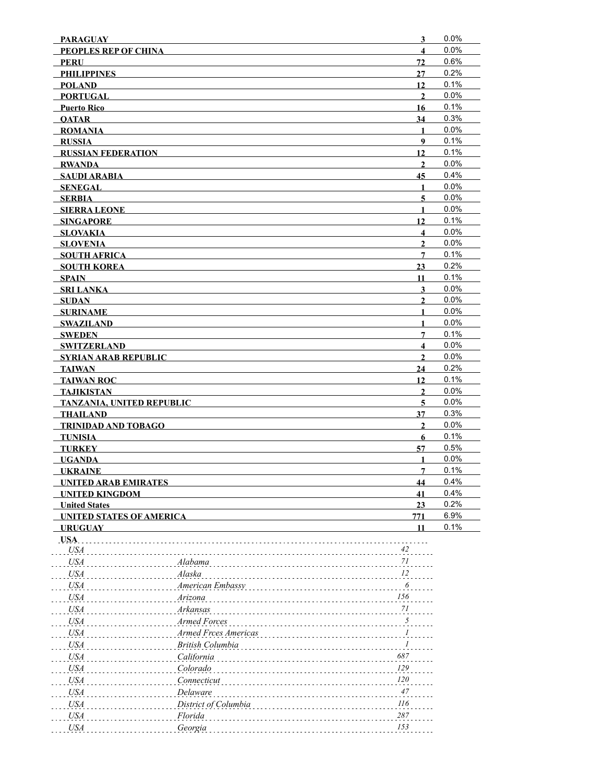| <b>PARAGUAY</b>                  |                      | $\overline{\mathbf{3}}$  | 0.0%         |
|----------------------------------|----------------------|--------------------------|--------------|
| PEOPLES REP OF CHINA             |                      | $\overline{\mathbf{4}}$  | 0.0%         |
| <b>PERU</b>                      |                      | 72                       | 0.6%         |
| <b>PHILIPPINES</b>               |                      | 27                       | 0.2%         |
| <b>POLAND</b>                    |                      | 12                       | 0.1%         |
| <b>PORTUGAL</b>                  |                      | $\overline{2}$           | 0.0%         |
| <b>Puerto Rico</b>               |                      | 16                       | 0.1%         |
| <b>OATAR</b>                     |                      | 34                       | 0.3%         |
| <b>ROMANIA</b>                   |                      | 1                        | 0.0%         |
| <b>RUSSIA</b>                    |                      | 9                        | 0.1%         |
| <b>RUSSIAN FEDERATION</b>        |                      | 12                       | 0.1%         |
| <b>RWANDA</b>                    |                      | $\overline{2}$           | 0.0%         |
| <b>SAUDI ARABIA</b>              |                      | 45                       | 0.4%         |
| <b>SENEGAL</b>                   |                      | $\mathbf{1}$             | 0.0%         |
| <b>SERBIA</b>                    |                      | $\overline{\mathbf{5}}$  | 0.0%         |
| <b>SIERRA LEONE</b>              |                      | 1                        | 0.0%         |
| <b>SINGAPORE</b>                 |                      | 12                       | 0.1%         |
| <b>SLOVAKIA</b>                  |                      | $\overline{\mathbf{4}}$  | 0.0%         |
| <b>SLOVENIA</b>                  |                      | $\mathbf{2}$             | 0.0%         |
| <b>SOUTH AFRICA</b>              |                      | 7                        | 0.1%         |
| <b>SOUTH KOREA</b>               |                      | 23                       | 0.2%         |
| <b>SPAIN</b>                     |                      | 11                       | 0.1%         |
| <b>SRI LANKA</b>                 |                      | $\mathbf{3}$             | 0.0%         |
| <b>SUDAN</b>                     |                      | $\overline{2}$           | 0.0%         |
| <b>SURINAME</b>                  |                      | $\mathbf{1}$             | 0.0%         |
| <b>SWAZILAND</b>                 |                      | $\mathbf{1}$             | 0.0%         |
| <b>SWEDEN</b>                    |                      | $7\phantom{.0}$          | 0.1%         |
| <b>SWITZERLAND</b>               |                      | $\overline{\mathbf{4}}$  | 0.0%         |
| <b>SYRIAN ARAB REPUBLIC</b>      |                      | $\overline{2}$           | 0.0%         |
| <b>TAIWAN</b>                    |                      | 24                       | 0.2%         |
| <b>TAIWAN ROC</b>                |                      | 12                       | 0.1%         |
| <b>TAJIKISTAN</b>                |                      | $\mathbf{2}$             | 0.0%         |
| <b>TANZANIA, UNITED REPUBLIC</b> |                      | 5                        | 0.0%         |
| <b>THAILAND</b>                  |                      | 37                       | 0.3%         |
| TRINIDAD AND TOBAGO              |                      | $\mathbf{2}$             | 0.0%         |
| <b>TUNISIA</b>                   |                      | 6                        | 0.1%         |
| <b>TURKEY</b>                    |                      | 57                       | 0.5%         |
| <b>UGANDA</b>                    |                      | 1                        | 0.0%         |
| <b>UKRAINE</b>                   |                      | $\overline{7}$           | 0.1%         |
| <b>UNITED ARAB EMIRATES</b>      |                      | 44                       | 0.4%<br>0.4% |
| <b>UNITED KINGDOM</b>            |                      | 41                       | 0.2%         |
| <b>United States</b>             |                      | 23                       | 6.9%         |
| <b>UNITED STATES OF AMERICA</b>  |                      | 771<br>11                | 0.1%         |
| <b>URUGUAY</b><br>USA.           |                      |                          |              |
| <b>USA</b>                       |                      | 42                       |              |
| <b>USA</b>                       | Alabama              | $7 \\ l$                 |              |
| <b>USA</b>                       | Alaska               | 12                       |              |
| <b>USA</b>                       |                      | 6                        |              |
|                                  | American Embassy     | $\it 156$                |              |
| <b>USA</b>                       | Arizona              |                          |              |
| <b>USA</b>                       | Arkansas             | $7 \\ l$                 |              |
| <b>USA</b>                       | Armed Forces         | $\overline{\mathcal{L}}$ |              |
| <b>USA</b>                       | Armed Frces Americas | $\frac{1}{\sqrt{2}}$     |              |
| <b>USA</b>                       | British Columbia     | 1                        |              |
| <b>USA</b>                       | California           | 687                      |              |
| <b>USA</b>                       | Colorado             | 129                      |              |
| <b>USA</b>                       | Connecticut          | <i>120</i>               |              |
| <b>USA</b>                       | Delaware             | 47                       |              |
| <b>USA</b>                       | District of Columbia | $\it 116$                |              |
| <b>USA</b>                       | Florida              | $287\,$                  |              |
|                                  | Georgia              | 153                      |              |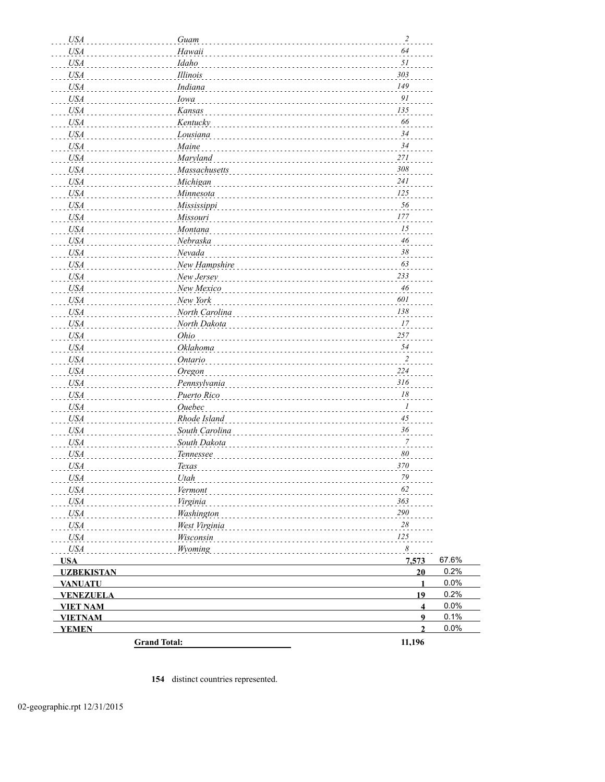| <b>USA</b>        | Guam                | $\overline{c}$          |       |
|-------------------|---------------------|-------------------------|-------|
| <b>USA</b>        | Hawaii              | 64                      |       |
| <b>USA</b>        | Idaho               | 51                      |       |
| <b>USA</b>        | Illinois            | 303                     |       |
| <b>USA</b>        | Indiana             | 149                     |       |
| <b>USA</b>        | Iowa                | 91                      |       |
| <b>USA</b>        | Kansas              | 135                     |       |
| <b>USA</b>        | Kentucky            | 66                      |       |
| <b>USA</b>        | Lousiana            | 34                      |       |
| <b>USA</b>        | Maine               | 34                      |       |
| <b>USA</b>        | Maryland            | 271                     |       |
| <b>USA</b>        | Massachusetts       | 308                     |       |
| <b>USA</b>        | Michigan            | 241                     |       |
| <b>USA</b>        | Minnesota           | 125                     |       |
| <b>USA</b>        | Mississippi         | 56                      |       |
| <b>USA</b>        | Missouri            | 177                     |       |
| <b>USA</b>        | Montana             | 15                      |       |
| <b>USA</b>        | Nebraska            | 46                      |       |
| <b>USA</b>        | Nevada              | 38                      |       |
| <b>USA</b>        | New Hampshire       | 63                      |       |
| <b>USA</b>        | New Jersey          | 233                     |       |
| <b>USA</b>        | New Mexico          | 46                      |       |
| <b>USA</b>        | New York            | 601                     |       |
| <b>USA</b>        | North Carolina      | 138                     |       |
| <b>USA</b>        | North Dakota        | 17                      |       |
| <b>USA</b>        | Ohio                | 257                     |       |
| <b>USA</b>        | Oklahoma            | 54                      |       |
|                   |                     | $\overline{2}$          |       |
| <b>USA</b>        | Ontario             | 224                     |       |
| <b>USA</b>        | Oregon              | 316                     |       |
| <b>USA</b>        | Pennsylvania        | 18                      |       |
| <b>USA</b>        | Puerto Rico         | $\boldsymbol{l}$        |       |
| <b>USA</b>        | <b>Ouebec</b>       |                         |       |
| <b>USA</b>        | Rhode Island        | 45                      |       |
| <b>USA</b>        | South Carolina      | 36                      |       |
| <b>USA</b>        | South Dakota        | $\overline{7}$          |       |
| <b>USA</b>        | Tennessee           | 80                      |       |
| <b>USA</b>        | <b>Texas</b>        | 370                     |       |
| USA <sub>.</sub>  | Utah                | 79                      |       |
| <i>USA</i>        | Vermont             | 62                      |       |
| <b>USA</b>        | Virginia            | 363                     |       |
| <b>USA</b>        | Washington          | 290                     |       |
| <b>USA</b>        | West Virginia       | 28                      |       |
| <i>USA</i>        | Wisconsin           | 125                     |       |
| <b>USA</b>        | Wyoming             | $\boldsymbol{\delta}$   |       |
| <b>USA</b>        |                     | 7,573                   | 67.6% |
| <b>UZBEKISTAN</b> |                     | 20                      | 0.2%  |
| <b>VANUATU</b>    |                     | $\mathbf{1}$            | 0.0%  |
| <b>VENEZUELA</b>  |                     | 19                      | 0.2%  |
| <b>VIET NAM</b>   |                     | $\overline{\mathbf{4}}$ | 0.0%  |
| <b>VIETNAM</b>    |                     | $\overline{9}$          | 0.1%  |
| <b>YEMEN</b>      |                     | $\overline{2}$          | 0.0%  |
|                   | <b>Grand Total:</b> | 11,196                  |       |

**154** distinct countries represented.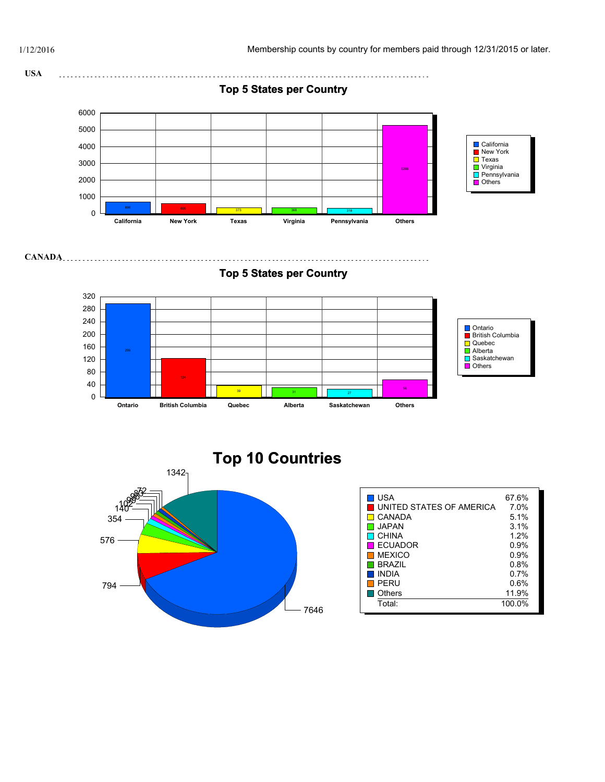



7646 794 576 354  $1<sup>1</sup>$ 1342 **Top 10 Countries**

#### ■ USA 67.6% UNITED STATES OF AMERICA  $\overline{7.0\%}$  $\Box$  CANADA 5.1%<br> $\Box$  JAPAN 3.1%  $\blacksquare$  JAPAN  $\Box$  CHINA  $\Box$  1.2%  $\Box$  ECUADOR  $\Box$  9.9% ■ECUADOR 0.9%<br>■MEXICO 0.9% ■ MEXICO 0.9%<br>■ BRAZIL 0.8%  $\blacksquare$  BRAZIL 0.8%<br> $\blacksquare$  INDIA 0.7%  $\blacksquare$  INDIA П PERU 0.6% ■ Others 11.9% Total: 100.0%

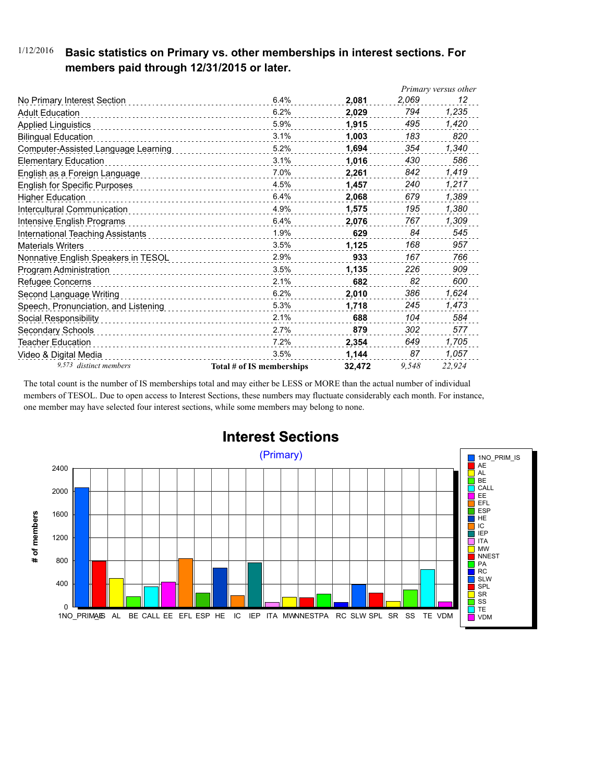### 1/12/2016 **Basic statistics on Primary vs. other memberships in interest sections. For members paid through 12/31/2015 or later.**

|                                      |                           |        |       | Primary versus other |
|--------------------------------------|---------------------------|--------|-------|----------------------|
| No Primary Interest Section          | 6.4%                      | 2,081  | 2,069 | 12                   |
| <b>Adult Education</b>               | 6.2%                      | 2,029  | 794   | 1,235                |
| <b>Applied Linguistics</b>           | 5.9%                      | 1,915  | 495   | 1,420                |
| <b>Bilingual Education</b>           | 3.1%                      | 1,003  | 183   | 820                  |
| Computer-Assisted Language Learning  | 5.2%                      | 1,694  | 354   | 1,340                |
| <b>Elementary Education</b>          | 3.1%                      | 1,016  | 430   | 586                  |
| English as a Foreign Language        | 7.0%                      | 2.261  | 842   | 1,419                |
| <b>English for Specific Purposes</b> | 4.5%                      | 1.457  | 240   | 1,217                |
| <b>Higher Education</b>              | 6.4%                      | 2,068  | 679   | 1,389                |
| Intercultural Communication          | 4.9%                      | 1,575  | 195   | 1,380                |
| Intensive English Programs           | 6.4%                      | 2,076  | 767   | 1,309                |
| International Teaching Assistants    | 1.9%                      | 629    | 84    | 545                  |
| <b>Materials Writers</b>             | 3.5%                      | 1,125  | 168   | 957                  |
| Nonnative English Speakers in TESOL  | 2.9%                      | 933    | 167   | 766                  |
| Program Administration               | 3.5%                      | 1,135  | 226   | 909                  |
| Refugee Concerns                     | 2.1%                      | 682    | 82    | 600                  |
| Second Language Writing              | 6.2%<br>.                 | 2,010  | 386   | 1,624                |
| Speech, Pronunciation, and Listening | 5.3%                      | 1,718  | 245   | 1,473                |
| Social Responsibility                | 2.1%                      | 688    | 104   | 584                  |
| Secondary Schools                    | 2.7%                      | 879    | 302   | 577                  |
| Teacher Education                    | 7.2%                      | 2,354  | 649   | 1,705                |
| Video & Digital Media                | 3.5%                      | 1.144  | 87    | 1,057                |
| 9,573 distinct members               | Total # of IS memberships | 32.472 | 9.548 | 22.924               |

The total count is the number of IS memberships total and may either be LESS or MORE than the actual number of individual members of TESOL. Due to open access to Interest Sections, these numbers may fluctuate considerably each month. For instance, one member may have selected four interest sections, while some members may belong to none.



## **Interest Sections**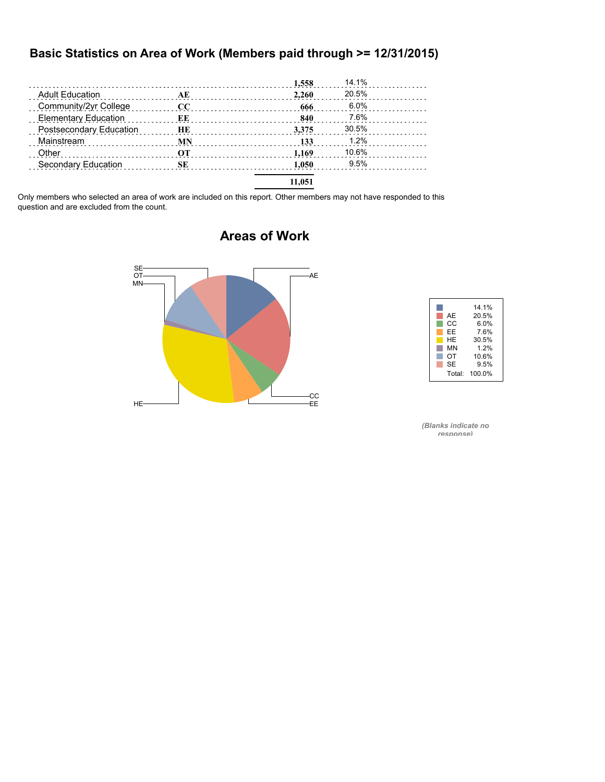#### **Basic Statistics on Area of Work (Members paid through >= 12/31/2015)**

|                                                |           | 1,558  | 14.1%   |  |
|------------------------------------------------|-----------|--------|---------|--|
| <b>Adult Education</b><br>$\overline{AE}$      |           | 2.260  | 20.5%   |  |
| Community/2yr College                          | CC        | 666    | $6.0\%$ |  |
| <b>Elementary Education</b>                    | EE        | 840    | 7.6%    |  |
| Postsecondary Education                        | HЕ        | 3.375  | 30.5%   |  |
| Mainstream<br>and a complete state and a state | <b>MN</b> | 133    | 1.2%    |  |
| Other                                          | OТ        | 1.169  | 10.6%   |  |
| Secondary Education                            | <b>SE</b> | 1.050  | 9.5%    |  |
|                                                |           | 11.051 |         |  |

Only members who selected an area of work are included on this report. Other members may not have responded to this question and are excluded from the count.



### **Areas of Work**



*(Blanks indicate no response)*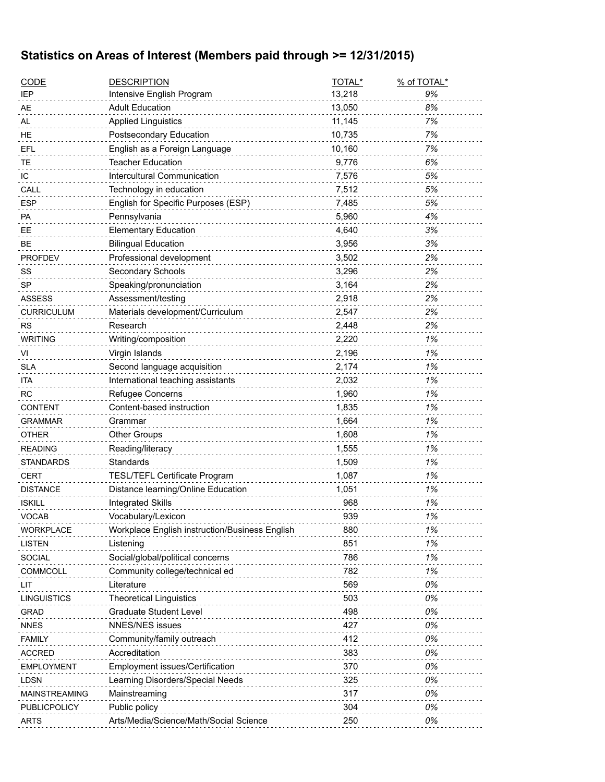## **Statistics on Areas of Interest (Members paid through >= 12/31/2015)**

 $\overline{a}$ 

| <b>CODE</b>         | <b>DESCRIPTION</b>                             | TOTAL* | % of TOTAL* |
|---------------------|------------------------------------------------|--------|-------------|
| <b>IEP</b>          | Intensive English Program                      | 13,218 | 9%          |
| AЕ                  | <b>Adult Education</b>                         | 13,050 | 8%          |
| AL                  | <b>Applied Linguistics</b>                     | 11,145 | 7%          |
| HE                  | Postsecondary Education                        | 10,735 | 7%          |
| EFL                 | English as a Foreign Language                  | 10,160 | 7%          |
| ТE                  | <b>Teacher Education</b>                       | 9,776  | 6%          |
| IС                  | Intercultural Communication                    | 7,576  | 5%          |
| CALL                | Technology in education                        | 7,512  | 5%          |
| <b>ESP</b>          | English for Specific Purposes (ESP)            | 7,485  | 5%          |
| PA                  | Pennsylvania                                   | 5,960  | 4%          |
| ЕE                  | <b>Elementary Education</b>                    | 4,640  | 3%          |
| BЕ                  | <b>Bilingual Education</b>                     | 3,956  | 3%          |
| <b>PROFDEV</b>      | Professional development                       | 3,502  | 2%          |
| SS                  | Secondary Schools                              | 3,296  | 2%          |
| SP                  | Speaking/pronunciation                         | 3,164  | 2%          |
| <b>ASSESS</b>       | Assessment/testing                             | 2,918  | 2%          |
| CURRICULUM          | Materials development/Curriculum               | 2,547  | 2%          |
| RS                  | Research                                       | 2,448  | 2%          |
| <b>WRITING</b>      | Writing/composition                            | 2,220  | 1%          |
| VI                  | Virgin Islands                                 | 2,196  | 1%          |
| <b>SLA</b>          | Second language acquisition                    | 2,174  | 1%          |
| ita                 | International teaching assistants              | 2,032  | 1%          |
| RC                  | Refugee Concerns                               | 1,960  | 1%          |
| CONTENT             | Content-based instruction                      | 1,835  | 1%          |
| <b>GRAMMAR</b>      | Grammar                                        | 1,664  | 1%          |
| <b>OTHER</b>        | <b>Other Groups</b>                            | 1,608  | 1%          |
| READING             | Reading/literacy                               | 1,555  | 1%          |
| STANDARDS           | Standards                                      | 1,509  | 1%          |
| <b>CERT</b>         | TESL/TEFL Certificate Program                  | 1,087  | 1%          |
| <b>DISTANCE</b>     | Distance learning/Online Education             | 1,051  | 1%          |
| <b>ISKILL</b>       | <b>Integrated Skills</b>                       | 968    | 1%          |
| VOCAB               | Vocabulary/Lexicon                             | 939    | 1%          |
| WORKPLACE           | Workplace English instruction/Business English | 880    | 1%          |
| LISTEN              | Listening                                      | 851    | 1%          |
| <b>SOCIAL</b>       | Social/global/political concerns               | 786    | 1%          |
| COMMCOLL            | Community college/technical ed                 | 782    | 1%          |
| LIT                 | Literature                                     | 569    | 0%          |
| LINGUISTICS         | <b>Theoretical Linguistics</b>                 | 503    | 0%          |
| <b>GRAD</b>         | <b>Graduate Student Level</b>                  | 498    | 0%          |
| <b>NNES</b>         | <b>NNES/NES issues</b>                         | 427    | 0%          |
| FAMILY              | Community/family outreach                      | 412    | 0%          |
| <b>ACCRED</b>       | Accreditation                                  | 383    | 0%          |
| EMPLOYMENT          | Employment issues/Certification                | 370    | 0%          |
| LDSN                | Learning Disorders/Special Needs               | 325    | 0%          |
| MAINSTREAMING       | Mainstreaming                                  | 317    | 0%          |
| <b>PUBLICPOLICY</b> | Public policy                                  | 304    | 0%          |
| ARTS                | Arts/Media/Science/Math/Social Science         | 250    | 0%          |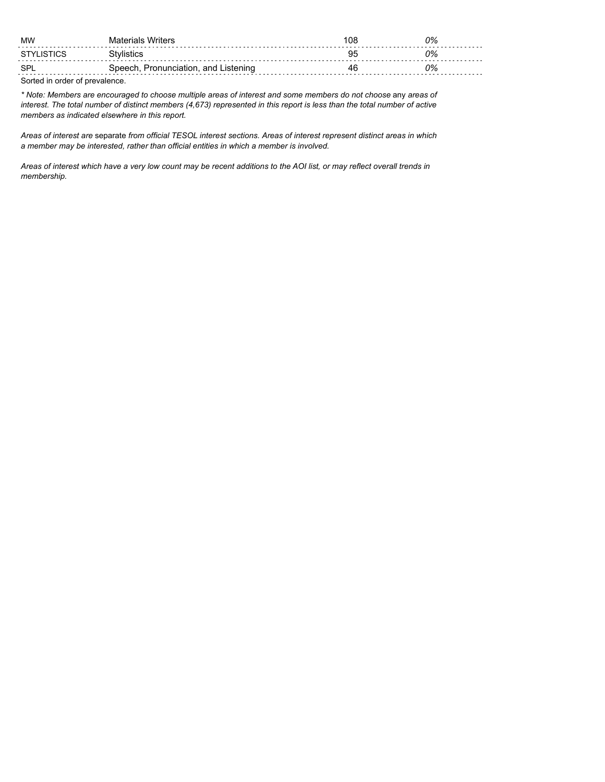| MW                             | Materials Writers                    | 108 | 0% |
|--------------------------------|--------------------------------------|-----|----|
| STYLISTICS                     | Stvlistics                           | 95  | 2% |
| <b>SPI</b>                     | Speech, Pronunciation, and Listening | 46  | 2% |
| Sorted in order of prevalence. |                                      |     |    |

*\* Note: Members are encouraged to choose multiple areas of interest and some members do not choose* any *areas of interest. The total number of distinct members (4,673) represented in this report is less than the total number of active members as indicated elsewhere in this report.*

*Areas of interest are* separate *from official TESOL interest sections. Areas of interest represent distinct areas in which a member may be interested, rather than official entities in which a member is involved.*

*Areas of interest which have a very low count may be recent additions to the AOI list, or may reflect overall trends in membership.*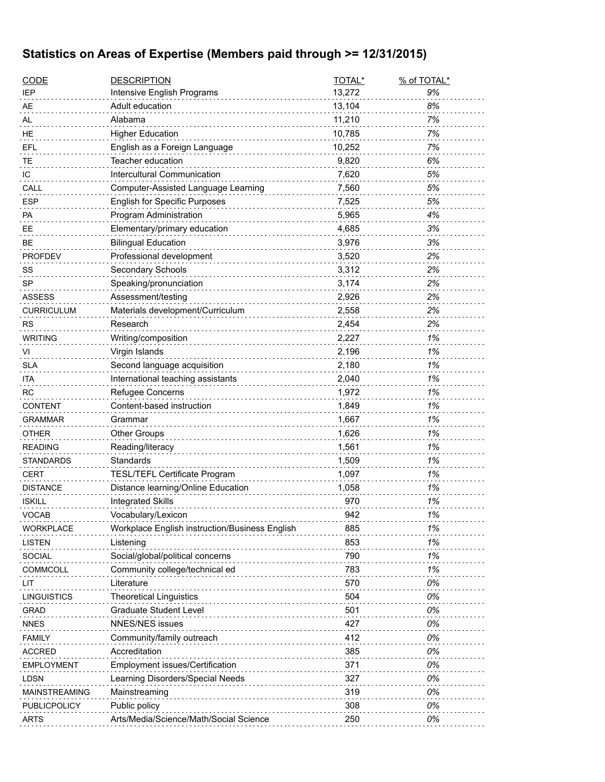# **Statistics on Areas of Expertise (Members paid through >= 12/31/2015)**

| <b>CODE</b>         | <b>DESCRIPTION</b>                                      | TOTAL*     | % of TOTAL* |
|---------------------|---------------------------------------------------------|------------|-------------|
| IEP                 | Intensive English Programs                              | 13,272     | 9%          |
| AE                  | Adult education                                         | 13,104     | 8%          |
| AL                  | Alabama                                                 | 11,210     | 7%          |
| НE                  | <b>Higher Education</b>                                 | 10,785     | 7%          |
| EFL                 | English as a Foreign Language                           | 10,252     | 7%          |
| ТE                  | Teacher education                                       | 9,820      | 6%          |
| ΙC                  | Intercultural Communication                             | 7,620      | 5%          |
| CALL                | Computer-Assisted Language Learning                     | 7,560      | 5%          |
| <b>ESP</b>          | <b>English for Specific Purposes</b>                    | 7,525      | 5%          |
| РA                  | Program Administration                                  | 5,965      | 4%          |
| EЕ                  | Elementary/primary education                            | 4,685      | 3%          |
| BЕ                  | <b>Bilingual Education</b>                              | 3,976      | 3%          |
| <b>PROFDEV</b>      | Professional development                                | 3,520      | 2%          |
| SS                  | Secondary Schools                                       | 3,312      | 2%          |
| SP                  | Speaking/pronunciation                                  | 3,174      | 2%          |
| ASSESS              | Assessment/testing                                      | 2,926      | 2%          |
| <b>CURRICULUM</b>   | Materials development/Curriculum                        | 2,558      | 2%          |
| <b>RS</b>           | Research                                                | 2,454      | 2%          |
| <b>WRITING</b>      | Writing/composition                                     | 2,227      | 1%          |
| VI                  | Virgin Islands                                          | 2,196      | 1%          |
| SLA                 | Second language acquisition                             | 2,180      | 1%          |
| ita                 | International teaching assistants                       | 2,040      | 1%          |
| RC                  | Refugee Concerns                                        | 1,972      | 1%          |
| CONTENT             | Content-based instruction                               | 1,849      | 1%          |
| GRAMMAR             | Grammar                                                 | 1,667      | 1%          |
| <b>OTHER</b>        | <b>Other Groups</b>                                     | 1,626      | 1%          |
| <b>READING</b>      | Reading/literacy                                        | 1,561      | 1%          |
| <b>STANDARDS</b>    | Standards                                               | 1,509      | 1%          |
| <b>CERT</b>         | TESL/TEFL Certificate Program                           | 1,097      | 1%          |
| <b>DISTANCE</b>     | Distance learning/Online Education                      | 1,058      | 1%          |
| <b>ISKILL</b>       | <b>Integrated Skills</b>                                | 970        | 1%          |
| VOCAB               | Vocabulary/Lexicon                                      | 942        | 1%          |
| <b>WORKPLACE</b>    | Workplace English instruction/Business English          | 885        | 1%          |
| LISTEN              | Listening                                               | 853        | 1%          |
| <b>SOCIAL</b>       | Social/global/political concerns                        | 790        | 1%          |
| <b>COMMCOLL</b>     | Community college/technical ed                          | 783        | 1%          |
| LIT                 | Literature                                              | 570        | 0%          |
| <b>LINGUISTICS</b>  | <b>Theoretical Linguistics</b>                          | 504        | 0%          |
| GRAD                | Graduate Student Level                                  | 501        | 0%          |
| <b>NNES</b>         | <b>NNES/NES issues</b>                                  | 427        | 0%          |
| <b>FAMILY</b>       | Community/family outreach                               | 412        | 0%          |
| <b>ACCRED</b>       | Accreditation                                           | 385        | 0%          |
| <b>EMPLOYMENT</b>   | Employment issues/Certification                         | 371        | 0%          |
| <b>LDSN</b>         | Learning Disorders/Special Needs                        | 327        | 0%          |
|                     |                                                         |            | 0%          |
| MAINSTREAMING       | Mainstreaming                                           | 319        | 0%          |
| <b>PUBLICPOLICY</b> | Public policy<br>Arts/Media/Science/Math/Social Science | 308<br>250 | 0%          |
| <b>ARTS</b>         |                                                         |            |             |